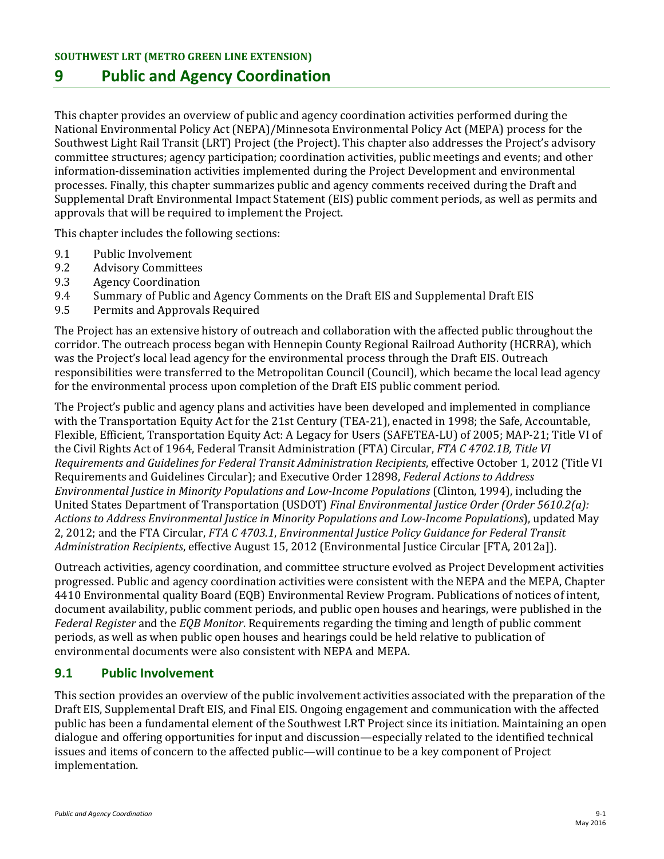# **9 Public and Agency Coordination**

This chapter provides an overview of public and agency coordination activities performed during the National Environmental Policy Act (NEPA)/Minnesota Environmental Policy Act (MEPA) process for the Southwest Light Rail Transit (LRT) Project (the Project). This chapter also addresses the Project's advisory committee structures; agency participation; coordination activities, public meetings and events; and other information-dissemination activities implemented during the Project Development and environmental processes. Finally, this chapter summarizes public and agency comments received during the Draft and Supplemental Draft Environmental Impact Statement (EIS) public comment periods, as well as permits and approvals that will be required to implement the Project.

This chapter includes the following sections:

- 9.1 Public Involvement<br>9.2 Advisory Committee
- 9.2 Advisory Committees<br>9.3 Agency Coordination
- 9.3 Agency Coordination<br>9.4 Summary of Public an
- 9.4 Summary of Public and Agency Comments on the Draft EIS and Supplemental Draft EIS<br>9.5 Permits and Approvals Required
- 9.5 Permits and Approvals Required

The Project has an extensive history of outreach and collaboration with the affected public throughout the corridor. The outreach process began with Hennepin County Regional Railroad Authority (HCRRA), which was the Project's local lead agency for the environmental process through the Draft EIS. Outreach responsibilities were transferred to the Metropolitan Council (Council), which became the local lead agency for the environmental process upon completion of the Draft EIS public comment period.

The Project's public and agency plans and activities have been developed and implemented in compliance with the Transportation Equity Act for the 21st Century (TEA-21), enacted in 1998; the Safe, Accountable, Flexible, Efficient, Transportation Equity Act: A Legacy for Users (SAFETEA-LU) of 2005; MAP-21; Title VI of the Civil Rights Act of 1964, Federal Transit Administration (FTA) Circular, *FTA C 4702.1B, Title VI Requirements and Guidelines for Federal Transit Administration Recipients*, effective October 1, 2012 (Title VI Requirements and Guidelines Circular); and Executive Order 12898, *Federal Actions to Address Environmental Justice in Minority Populations and Low-Income Populations* (Clinton, 1994), including the United States Department of Transportation (USDOT) *Final Environmental Justice Order (Order 5610.2(a): Actions to Address Environmental Justice in Minority Populations and Low-Income Populations*), updated May 2, 2012; and the FTA Circular, *FTA C 4703.1*, *Environmental Justice Policy Guidance for Federal Transit Administration Recipients*, effective August 15, 2012 (Environmental Justice Circular [FTA, 2012a]).

Outreach activities, agency coordination, and committee structure evolved as Project Development activities progressed. Public and agency coordination activities were consistent with the NEPA and the MEPA, Chapter 4410 Environmental quality Board (EQB) Environmental Review Program. Publications of notices of intent, document availability, public comment periods, and public open houses and hearings, were published in the *Federal Register* and the *EQB Monitor*. Requirements regarding the timing and length of public comment periods, as well as when public open houses and hearings could be held relative to publication of environmental documents were also consistent with NEPA and MEPA.

## **9.1 Public Involvement**

This section provides an overview of the public involvement activities associated with the preparation of the Draft EIS, Supplemental Draft EIS, and Final EIS. Ongoing engagement and communication with the affected public has been a fundamental element of the Southwest LRT Project since its initiation. Maintaining an open dialogue and offering opportunities for input and discussion—especially related to the identified technical issues and items of concern to the affected public—will continue to be a key component of Project implementation.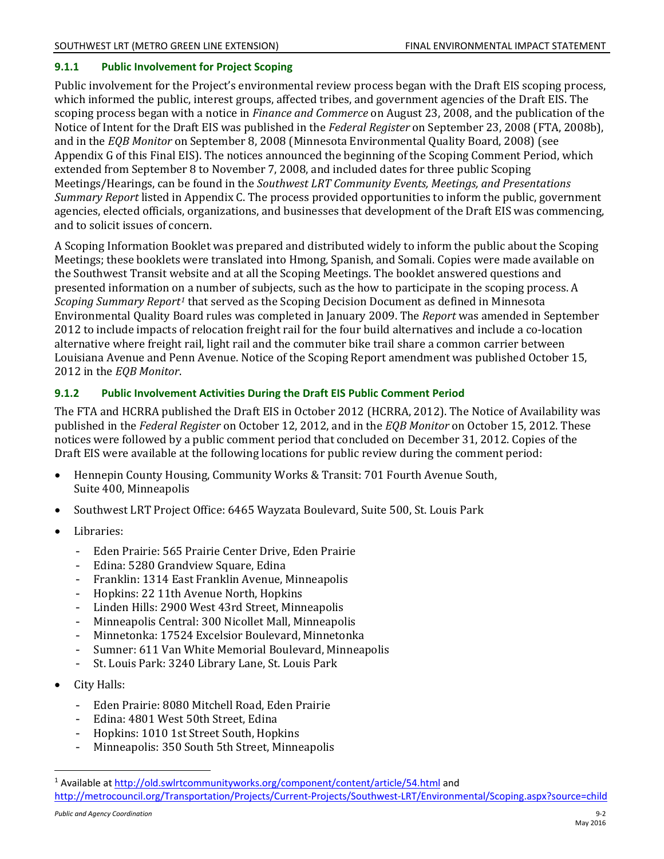### **9.1.1 Public Involvement for Project Scoping**

Public involvement for the Project's environmental review process began with the Draft EIS scoping process, which informed the public, interest groups, affected tribes, and government agencies of the Draft EIS. The scoping process began with a notice in *Finance and Commerce* on August 23, 2008, and the publication of the Notice of Intent for the Draft EIS was published in the *Federal Register* on September 23, 2008 (FTA, 2008b), and in the *EQB Monitor* on September 8, 2008 (Minnesota Environmental Quality Board, 2008) (see Appendix G of this Final EIS). The notices announced the beginning of the Scoping Comment Period, which extended from September 8 to November 7, 2008, and included dates for three public Scoping Meetings/Hearings, can be found in the *Southwest LRT Community Events, Meetings, and Presentations Summary Report* listed in Appendix C. The process provided opportunities to inform the public, government agencies, elected officials, organizations, and businesses that development of the Draft EIS was commencing, and to solicit issues of concern.

A Scoping Information Booklet was prepared and distributed widely to inform the public about the Scoping Meetings; these booklets were translated into Hmong, Spanish, and Somali. Copies were made available on the Southwest Transit website and at all the Scoping Meetings. The booklet answered questions and presented information on a number of subjects, such as the how to participate in the scoping process. A *Scoping Summary Report[1](#page-1-0)* that served as the Scoping Decision Document as defined in Minnesota Environmental Quality Board rules was completed in January 2009. The *Report* was amended in September 2012 to include impacts of relocation freight rail for the four build alternatives and include a co-location alternative where freight rail, light rail and the commuter bike trail share a common carrier between Louisiana Avenue and Penn Avenue. Notice of the Scoping Report amendment was published October 15, 2012 in the *EQB Monitor*.

### **9.1.2 Public Involvement Activities During the Draft EIS Public Comment Period**

The FTA and HCRRA published the Draft EIS in October 2012 (HCRRA, 2012). The Notice of Availability was published in the *Federal Register* on October 12, 2012, and in the *EQB Monitor* on October 15, 2012. These notices were followed by a public comment period that concluded on December 31, 2012. Copies of the Draft EIS were available at the following locations for public review during the comment period:

- $\bullet$ Hennepin County Housing, Community Works & Transit: 701 Fourth Avenue South, Suite 400, Minneapolis
- Southwest LRT Project Office: 6465 Wayzata Boulevard, Suite 500, St. Louis Park
- Libraries:
	- Eden Prairie: 565 Prairie Center Drive, Eden Prairie
	- $-$ Edina: 5280 Grandview Square, Edina
	- Franklin: 1314 East Franklin Avenue, Minneapolis
	- Hopkins: 22 11th Avenue North, Hopkins
	- Linden Hills: 2900 West 43rd Street, Minneapolis
	- Minneapolis Central: 300 Nicollet Mall, Minneapolis
	- Minnetonka: 17524 Excelsior Boulevard, Minnetonka
	- Sumner: 611 Van White Memorial Boulevard, Minneapolis
	- St. Louis Park: 3240 Library Lane, St. Louis Park
- City Halls:

- Eden Prairie: 8080 Mitchell Road, Eden Prairie
- Edina: 4801 West 50th Street, Edina
- Hopkins: 1010 1st Street South, Hopkins
- Minneapolis: 350 South 5th Street, Minneapolis

<span id="page-1-0"></span><sup>1</sup> Available a[t http://old.swlrtcommunityworks.org/component/content/article/54.html](http://old.swlrtcommunityworks.org/component/content/article/54.html) and <http://metrocouncil.org/Transportation/Projects/Current-Projects/Southwest-LRT/Environmental/Scoping.aspx?source=child>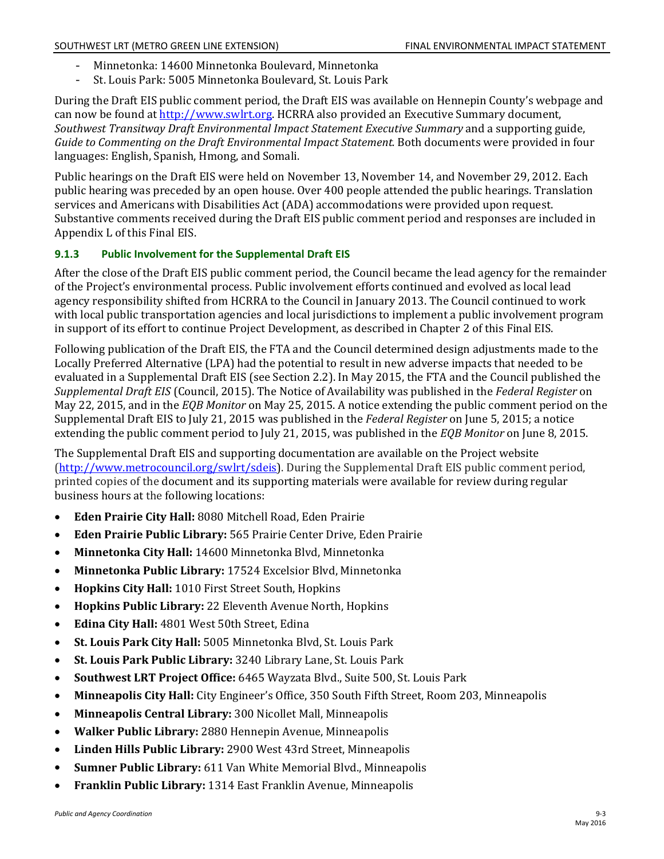- Minnetonka: 14600 Minnetonka Boulevard, Minnetonka
- St. Louis Park: 5005 Minnetonka Boulevard, St. Louis Park

During the Draft EIS public comment period, the Draft EIS was available on Hennepin County's webpage and can now be found at [http://www.swlrt.org.](http://www.swlrt.org/) HCRRA also provided an Executive Summary document, *Southwest Transitway Draft Environmental Impact Statement Executive Summary* and a supporting guide, *Guide to Commenting on the Draft Environmental Impact Statement.* Both documents were provided in four languages: English, Spanish, Hmong, and Somali.

Public hearings on the Draft EIS were held on November 13, November 14, and November 29, 2012. Each public hearing was preceded by an open house. Over 400 people attended the public hearings. Translation services and Americans with Disabilities Act (ADA) accommodations were provided upon request. Substantive comments received during the Draft EIS public comment period and responses are included in Appendix L of this Final EIS.

### **9.1.3 Public Involvement for the Supplemental Draft EIS**

After the close of the Draft EIS public comment period, the Council became the lead agency for the remainder of the Project's environmental process. Public involvement efforts continued and evolved as local lead agency responsibility shifted from HCRRA to the Council in January 2013. The Council continued to work with local public transportation agencies and local jurisdictions to implement a public involvement program in support of its effort to continue Project Development, as described in Chapter 2 of this Final EIS.

Following publication of the Draft EIS, the FTA and the Council determined design adjustments made to the Locally Preferred Alternative (LPA) had the potential to result in new adverse impacts that needed to be evaluated in a Supplemental Draft EIS (see Section 2.2). In May 2015, the FTA and the Council published the *Supplemental Draft EIS* (Council, 2015). The Notice of Availability was published in the *Federal Register* on May 22, 2015, and in the *EQB Monitor* on May 25, 2015. A notice extending the public comment period on the Supplemental Draft EIS to July 21, 2015 was published in the *Federal Register* on June 5, 2015; a notice extending the public comment period to July 21, 2015, was published in the *EQB Monitor* on June 8, 2015.

The Supplemental Draft EIS and supporting documentation are available on the Project website [\(http://www.metrocouncil.org/swlrt/sdeis\)](http://metrocouncil.org/swlrt/sdeis). During the Supplemental Draft EIS public comment period, printed copies of the document and its supporting materials were available for review during regular business hours at the following locations:

- **Eden Prairie City Hall:** 8080 Mitchell Road, Eden Prairie
- $\bullet$ **Eden Prairie Public Library:** 565 Prairie Center Drive, Eden Prairie
- **Minnetonka City Hall:** 14600 Minnetonka Blvd, Minnetonka
- **Minnetonka Public Library:** 17524 Excelsior Blvd, Minnetonka
- **Hopkins City Hall:** 1010 First Street South, Hopkins
- **Hopkins Public Library:** 22 Eleventh Avenue North, Hopkins
- **Edina City Hall:** 4801 West 50th Street, Edina
- **St. Louis Park City Hall:** 5005 Minnetonka Blvd, St. Louis Park
- **St. Louis Park Public Library:** 3240 Library Lane, St. Louis Park
- **Southwest LRT Project Office:** 6465 Wayzata Blvd., Suite 500, St. Louis Park
- **Minneapolis City Hall:** City Engineer's Office, 350 South Fifth Street, Room 203, Minneapolis
- **Minneapolis Central Library:** 300 Nicollet Mall, Minneapolis
- **Walker Public Library:** 2880 Hennepin Avenue, Minneapolis
- **Linden Hills Public Library:** 2900 West 43rd Street, Minneapolis
- **Sumner Public Library:** 611 Van White Memorial Blvd., Minneapolis
- **Franklin Public Library:** 1314 East Franklin Avenue, Minneapolis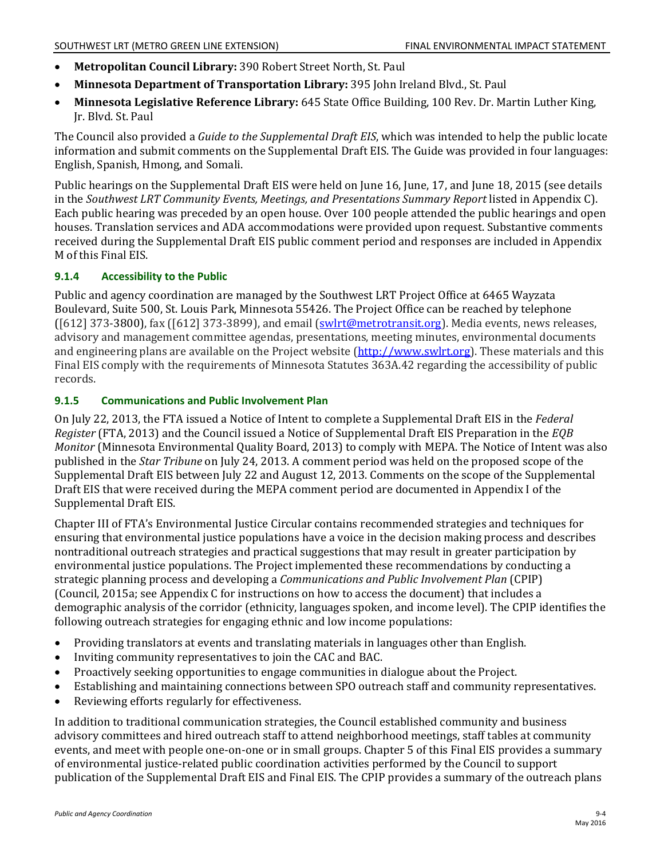- $\bullet$ **Metropolitan Council Library:** 390 Robert Street North, St. Paul
- **Minnesota Department of Transportation Library:** 395 John Ireland Blvd., St. Paul
- **Minnesota Legislative Reference Library:** 645 State Office Building, 100 Rev. Dr. Martin Luther King, Jr. Blvd. St. Paul

The Council also provided a *Guide to the Supplemental Draft EIS*, which was intended to help the public locate information and submit comments on the Supplemental Draft EIS. The Guide was provided in four languages: English, Spanish, Hmong, and Somali.

Public hearings on the Supplemental Draft EIS were held on June 16, June, 17, and June 18, 2015 (see details in the *Southwest LRT Community Events, Meetings, and Presentations Summary Report* listed in Appendix C). Each public hearing was preceded by an open house. Over 100 people attended the public hearings and open houses. Translation services and ADA accommodations were provided upon request. Substantive comments received during the Supplemental Draft EIS public comment period and responses are included in Appendix M of this Final EIS.

### **9.1.4 Accessibility to the Public**

Public and agency coordination are managed by the Southwest LRT Project Office at 6465 Wayzata Boulevard, Suite 500, St. Louis Park, Minnesota 55426. The Project Office can be reached by telephone ([612] 373-3800), fax ([612] 373-3899), and email [\(swlrt@metrotransit.org\)](mailto:swlrt@metrotransit.org). Media events, news releases, advisory and management committee agendas, presentations, meeting minutes, environmental documents and engineering plans are available on the Project website [\(http://www.swlrt.org\)](http://www.swlrt.org/). These materials and this Final EIS comply with the requirements of Minnesota Statutes 363A.42 regarding the accessibility of public records.

### **9.1.5 Communications and Public Involvement Plan**

On July 22, 2013, the FTA issued a Notice of Intent to complete a Supplemental Draft EIS in the *Federal Register* (FTA, 2013) and the Council issued a Notice of Supplemental Draft EIS Preparation in the *EQB Monitor* (Minnesota Environmental Quality Board, 2013) to comply with MEPA. The Notice of Intent was also published in the *Star Tribune* on July 24, 2013. A comment period was held on the proposed scope of the Supplemental Draft EIS between July 22 and August 12, 2013. Comments on the scope of the Supplemental Draft EIS that were received during the MEPA comment period are documented in Appendix I of the Supplemental Draft EIS.

Chapter III of FTA's Environmental Justice Circular contains recommended strategies and techniques for ensuring that environmental justice populations have a voice in the decision making process and describes nontraditional outreach strategies and practical suggestions that may result in greater participation by environmental justice populations. The Project implemented these recommendations by conducting a strategic planning process and developing a *Communications and Public Involvement Plan* (CPIP) (Council, 2015a; see Appendix C for instructions on how to access the document) that includes a demographic analysis of the corridor (ethnicity, languages spoken, and income level). The CPIP identifies the following outreach strategies for engaging ethnic and low income populations:

- Providing translators at events and translating materials in languages other than English.
- $\bullet$ Inviting community representatives to join the CAC and BAC.
- Proactively seeking opportunities to engage communities in dialogue about the Project.
- Establishing and maintaining connections between SPO outreach staff and community representatives.
- Reviewing efforts regularly for effectiveness.

In addition to traditional communication strategies, the Council established community and business advisory committees and hired outreach staff to attend neighborhood meetings, staff tables at community events, and meet with people one-on-one or in small groups. Chapter 5 of this Final EIS provides a summary of environmental justice-related public coordination activities performed by the Council to support publication of the Supplemental Draft EIS and Final EIS. The CPIP provides a summary of the outreach plans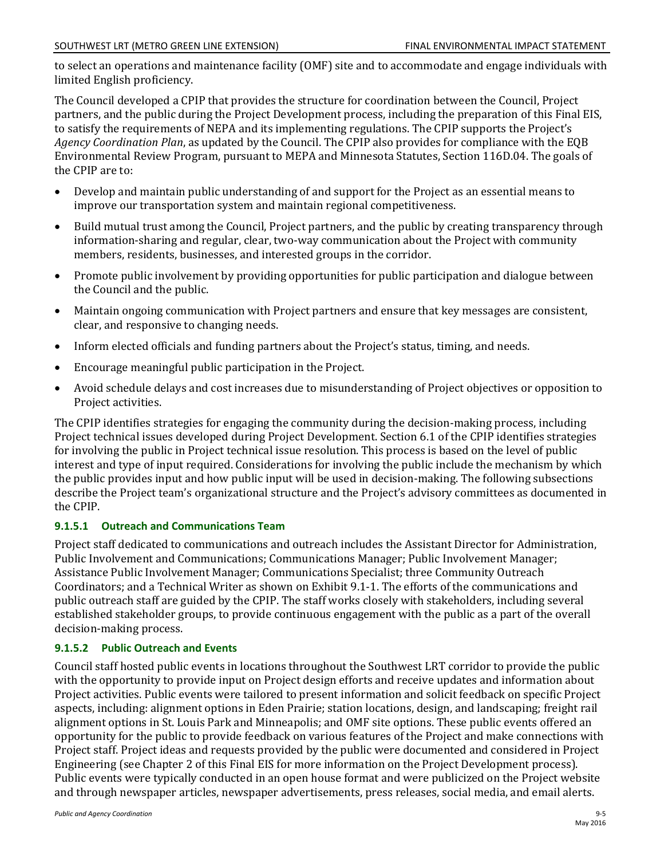to select an operations and maintenance facility (OMF) site and to accommodate and engage individuals with limited English proficiency.

The Council developed a CPIP that provides the structure for coordination between the Council, Project partners, and the public during the Project Development process, including the preparation of this Final EIS, to satisfy the requirements of NEPA and its implementing regulations. The CPIP supports the Project's *Agency Coordination Plan*, as updated by the Council. The CPIP also provides for compliance with the EQB Environmental Review Program, pursuant to MEPA and Minnesota Statutes, Section 116D.04. The goals of the CPIP are to:

- i mprove our transportation system and maintain regional competitiveness. Develop and maintain public understanding of and support for the Project as an essential means to
- $\bullet$ i nformation-sharing and regular, clear, two-way communication about the Project with community Build mutual trust among the Council, Project partners, and the public by creating transparency through members, residents, businesses, and interested groups in the corridor.
- Promote public involvement by providing opportunities for public participation and dialogue between the Council and the public.
- Maintain ongoing communication with Project partners and ensure that key messages are consistent, clear, and responsive to changing needs.
- Inform elected officials and funding partners about the Project's status, timing, and needs.
- Encourage meaningful public participation in the Project.
- Avoid schedule delays and cost increases due to misunderstanding of Project objectives or opposition to Project activities.

The CPIP identifies strategies for engaging the community during the decision-making process, including Project technical issues developed during Project Development. Section 6.1 of the CPIP identifies strategies for involving the public in Project technical issue resolution. This process is based on the level of public interest and type of input required. Considerations for involving the public include the mechanism by which the public provides input and how public input will be used in decision-making. The following subsections describe the Project team's organizational structure and the Project's advisory committees as documented in the CPIP.

### **9.1.5.1 Outreach and Communications Team**

Project staff dedicated to communications and outreach includes the Assistant Director for Administration, Public Involvement and Communications; Communications Manager; Public Involvement Manager; Assistance Public Involvement Manager; Communications Specialist; three Community Outreach Coordinators; and a Technical Writer as shown on Exhibit 9.1-1. The efforts of the communications and public outreach staff are guided by the CPIP. The staff works closely with stakeholders, including several established stakeholder groups, to provide continuous engagement with the public as a part of the overall decision-making process.

### **9.1.5.2 Public Outreach and Events**

Council staff hosted public events in locations throughout the Southwest LRT corridor to provide the public with the opportunity to provide input on Project design efforts and receive updates and information about Project activities. Public events were tailored to present information and solicit feedback on specific Project aspects, including: alignment options in Eden Prairie; station locations, design, and landscaping; freight rail alignment options in St. Louis Park and Minneapolis; and OMF site options. These public events offered an opportunity for the public to provide feedback on various features of the Project and make connections with Project staff. Project ideas and requests provided by the public were documented and considered in Project Engineering (see Chapter 2 of this Final EIS for more information on the Project Development process). Public events were typically conducted in an open house format and were publicized on the Project website and through newspaper articles, newspaper advertisements, press releases, social media, and email alerts.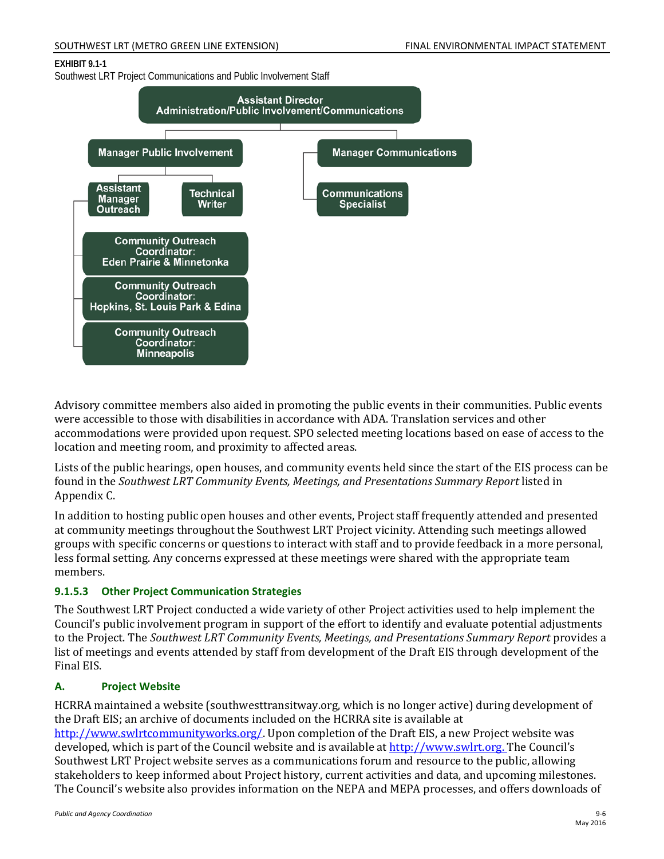#### SOUTHWEST LRT (METRO GREEN LINE EXTENSION) FINAL ENVIRONMENTAL IMPACT STATEMENT

#### **EXHIBIT 9.1-1**

Southwest LRT Project Communications and Public Involvement Staff



Advisory committee members also aided in promoting the public events in their communities. Public events were accessible to those with disabilities in accordance with ADA. Translation services and other accommodations were provided upon request. SPO selected meeting locations based on ease of access to the location and meeting room, and proximity to affected areas.

Lists of the public hearings, open houses, and community events held since the start of the EIS process can be found in the *Southwest LRT Community Events, Meetings, and Presentations Summary Report* listed in Appendix C.

In addition to hosting public open houses and other events, Project staff frequently attended and presented at community meetings throughout the Southwest LRT Project vicinity. Attending such meetings allowed groups with specific concerns or questions to interact with staff and to provide feedback in a more personal, less formal setting. Any concerns expressed at these meetings were shared with the appropriate team members.

### **9.1.5.3 Other Project Communication Strategies**

The Southwest LRT Project conducted a wide variety of other Project activities used to help implement the Council's public involvement program in support of the effort to identify and evaluate potential adjustments to the Project. The *Southwest LRT Community Events, Meetings, and Presentations Summary Report* provides a list of meetings and events attended by staff from development of the Draft EIS through development of the Final EIS.

### **A. Project Website**

HCRRA maintained a website (southwesttransitway.org, which is no longer active) during development of the Draft EIS; an archive of documents included on the HCRRA site is available at [http://www.swlrtcommunityworks.org/.](http://www.swlrtcommunityworks.org/) Upon completion of the Draft EIS, a new Project website was developed, which is part of the Council website and is available at [http://www.swlrt.org.](http://www.swlrt.org/) The Council's Southwest LRT Project website serves as a communications forum and resource to the public, allowing stakeholders to keep informed about Project history, current activities and data, and upcoming milestones. The Council's website also provides information on the NEPA and MEPA processes, and offers downloads of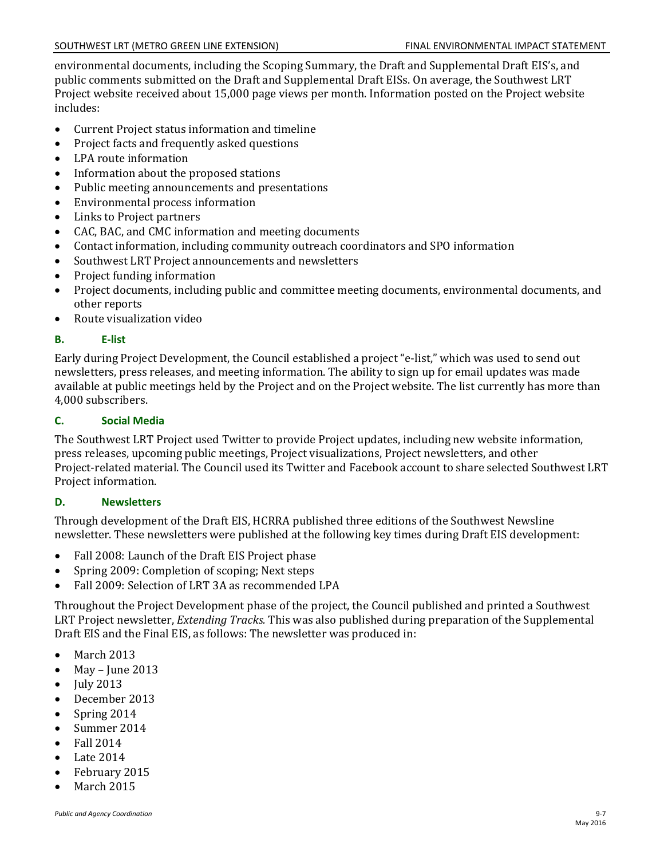environmental documents, including the Scoping Summary, the Draft and Supplemental Draft EIS's, and public comments submitted on the Draft and Supplemental Draft EISs. On average, the Southwest LRT Project website received about 15,000 page views per month. Information posted on the Project website includes:

- Current Project status information and timeline
- $\bullet$ Project facts and frequently asked questions
- LPA route information
- Information about the proposed stations
- Public meeting announcements and presentations
- Environmental process information
- Links to Project partners
- CAC, BAC, and CMC information and meeting documents
- Contact information, including community outreach coordinators and SPO information
- Southwest LRT Project announcements and newsletters
- Project funding information
- Project documents, including public and committee meeting documents, environmental documents, and other reports
- Route visualization video

### **B. E-list**

Early during Project Development, the Council established a project "e-list," which was used to send out newsletters, press releases, and meeting information. The ability to sign up for email updates was made available at public meetings held by the Project and on the Project website. The list currently has more than 4,000 subscribers.

### **C. Social Media**

The Southwest LRT Project used Twitter to provide Project updates, including new website information, press releases, upcoming public meetings, Project visualizations, Project newsletters, and other Project-related material. The Council used its Twitter and Facebook account to share selected Southwest LRT Project information.

### **D. Newsletters**

Through development of the Draft EIS, HCRRA published three editions of the Southwest Newsline newsletter. These newsletters were published at the following key times during Draft EIS development:

- Fall 2008: Launch of the Draft EIS Project phase
- Spring 2009: Completion of scoping; Next steps
- Fall 2009: Selection of LRT 3A as recommended LPA

Throughout the Project Development phase of the project, the Council published and printed a Southwest LRT Project newsletter, *Extending Tracks.* This was also published during preparation of the Supplemental Draft EIS and the Final EIS, as follows: The newsletter was produced in:

- March 2013
- May – June 2013
- July 2013
- December 2013
- Spring 2014
- Summer 2014
- Fall 2014
- Late 2014
- February 2015
- March 2015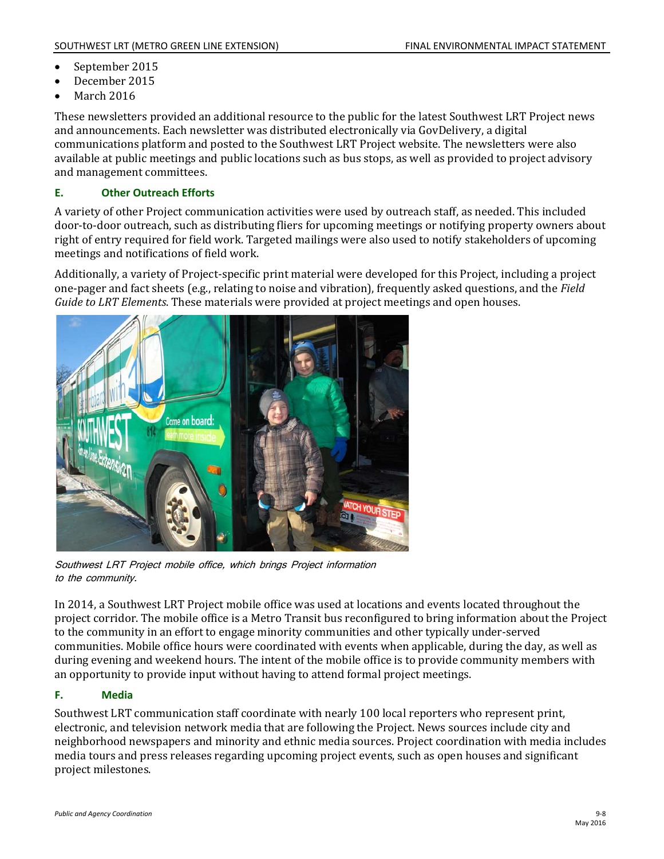- September 2015
- December 2015
- March 2016

These newsletters provided an additional resource to the public for the latest Southwest LRT Project news and announcements. Each newsletter was distributed electronically via GovDelivery, a digital communications platform and posted to the Southwest LRT Project website. The newsletters were also available at public meetings and public locations such as bus stops, as well as provided to project advisory and management committees.

### **E. Other Outreach Efforts**

A variety of other Project communication activities were used by outreach staff, as needed. This included door-to-door outreach, such as distributing fliers for upcoming meetings or notifying property owners about right of entry required for field work. Targeted mailings were also used to notify stakeholders of upcoming meetings and notifications of field work.

Additionally, a variety of Project-specific print material were developed for this Project, including a project one-pager and fact sheets (e.g., relating to noise and vibration), frequently asked questions, and the *Field Guide to LRT Elements*. These materials were provided at project meetings and open houses.



Southwest LRT Project mobile office, which brings Project information to the community.

In 2014, a Southwest LRT Project mobile office was used at locations and events located throughout the project corridor. The mobile office is a Metro Transit bus reconfigured to bring information about the Project to the community in an effort to engage minority communities and other typically under-served communities. Mobile office hours were coordinated with events when applicable, during the day, as well as during evening and weekend hours. The intent of the mobile office is to provide community members with an opportunity to provide input without having to attend formal project meetings.

### **F. Media**

Southwest LRT communication staff coordinate with nearly 100 local reporters who represent print, electronic, and television network media that are following the Project. News sources include city and neighborhood newspapers and minority and ethnic media sources. Project coordination with media includes media tours and press releases regarding upcoming project events, such as open houses and significant project milestones.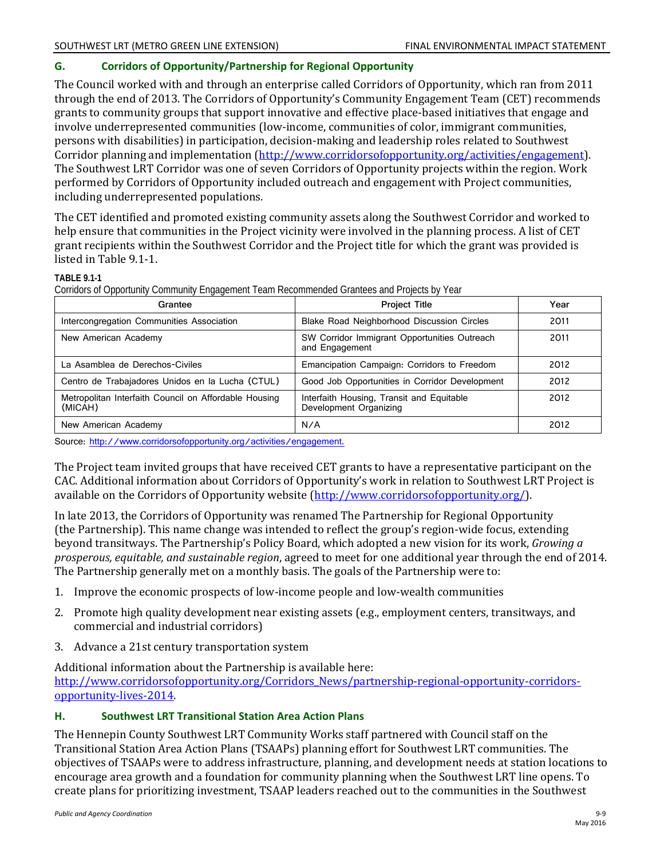### **G. Corridors of Opportunity/Partnership for Regional Opportunity**

The Council worked with and through an enterprise called Corridors of Opportunity, which ran from 2011 through the end of 2013. The Corridors of Opportunity's Community Engagement Team (CET) recommends grants to community groups that support innovative and effective place-based initiatives that engage and involve underrepresented communities (low-income, communities of color, immigrant communities, persons with disabilities) in participation, decision-making and leadership roles related to Southwest Corridor planning and implementation [\(http://www.corridorsofopportunity.org/activities/engagement\)](http://www.corridorsofopportunity.org/activities/engagement). The Southwest LRT Corridor was one of seven Corridors of Opportunity projects within the region. Work performed by Corridors of Opportunity included outreach and engagement with Project communities, including underrepresented populations.

The CET identified and promoted existing community assets along the Southwest Corridor and worked to help ensure that communities in the Project vicinity were involved in the planning process. A list of CET grant recipients within the Southwest Corridor and the Project title for which the grant was provided is listed in Table 9.1-1.

#### **TABLE 9.1-1**

Corridors of Opportunity Community Engagement Team Recommended Grantees and Projects by Year

| Grantee                                                          | <b>Project Title</b>                                                | Year |
|------------------------------------------------------------------|---------------------------------------------------------------------|------|
| Intercongregation Communities Association                        | Blake Road Neighborhood Discussion Circles                          | 2011 |
| New American Academy                                             | SW Corridor Immigrant Opportunities Outreach<br>and Engagement      | 2011 |
| La Asamblea de Derechos-Civiles                                  | Emancipation Campaign: Corridors to Freedom                         | 2012 |
| Centro de Trabajadores Unidos en la Lucha (CTUL)                 | Good Job Opportunities in Corridor Development                      | 2012 |
| Metropolitan Interfaith Council on Affordable Housing<br>(MICAH) | Interfaith Housing, Transit and Equitable<br>Development Organizing | 2012 |
| New American Academy                                             | N/A                                                                 | 2012 |

Source: http://www.corridorsofopportunity.org/activities/engagement.

The Project team invited groups that have received CET grants to have a representative participant on the CAC. Additional information about Corridors of Opportunity's work in relation to Southwest LRT Project is available on the Corridors of Opportunity website [\(http://www.corridorsofopportunity.org/\)](http://www.corridorsofopportunity.org/).

In late 2013, the Corridors of Opportunity was renamed The Partnership for Regional Opportunity (the Partnership). This name change was intended to reflect the group's region-wide focus, extending beyond transitways. The Partnership's Policy Board, which adopted a new vision for its work, *Growing a prosperous, equitable, and sustainable region*, agreed to meet for one additional year through the end of 2014. The Partnership generally met on a monthly basis. The goals of the Partnership were to:

- 1. Improve the economic prospects of low-income people and low-wealth communities
- 2. Promote high quality development near existing assets (e.g., employment centers, transitways, and commercial and industrial corridors)
- 3. Advance a 21st century transportation system

Additional information about the Partnership is available here:

[http://www.corridorsofopportunity.org/Corridors\\_News/partnership-regional-opportunity-corridors](http://www.corridorsofopportunity.org/Corridors_News/partnership-regional-opportunity-corridors-opportunity-lives-2014)[opportunity-lives-2014.](http://www.corridorsofopportunity.org/Corridors_News/partnership-regional-opportunity-corridors-opportunity-lives-2014) 

### **H. Southwest LRT Transitional Station Area Action Plans**

The Hennepin County Southwest LRT Community Works staff partnered with Council staff on the Transitional Station Area Action Plans (TSAAPs) planning effort for Southwest LRT communities. The objectives of TSAAPs were to address infrastructure, planning, and development needs at station locations to encourage area growth and a foundation for community planning when the Southwest LRT line opens. To create plans for prioritizing investment, TSAAP leaders reached out to the communities in the Southwest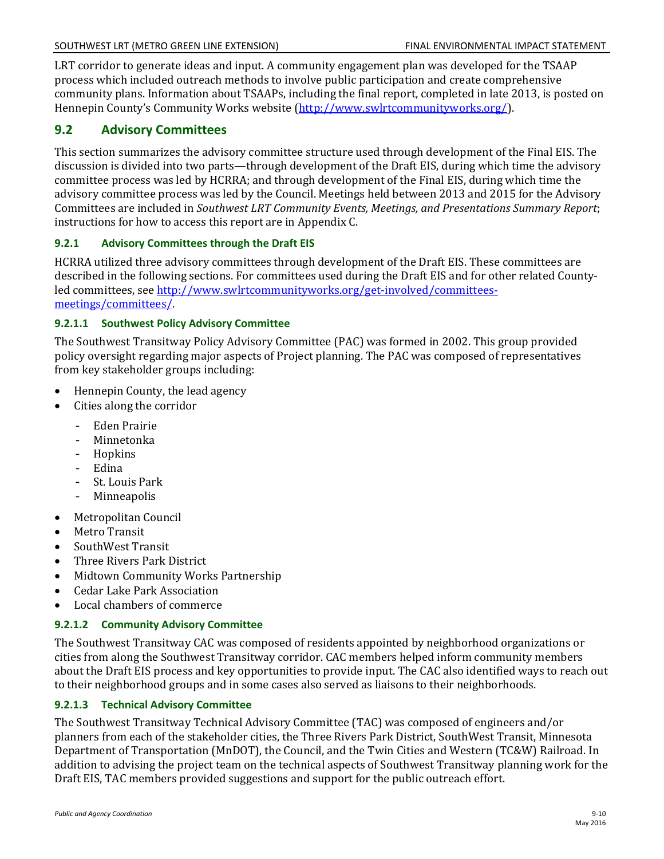LRT corridor to generate ideas and input. A community engagement plan was developed for the TSAAP process which included outreach methods to involve public participation and create comprehensive community plans. Information about TSAAPs, including the final report, completed in late 2013, is posted on Hennepin County's Community Works website [\(http://www.swlrtcommunityworks.org/\)](http://www.swlrtcommunityworks.org/).

## **9.2 Advisory Committees**

This section summarizes the advisory committee structure used through development of the Final EIS. The discussion is divided into two parts—through development of the Draft EIS, during which time the advisory committee process was led by HCRRA; and through development of the Final EIS, during which time the advisory committee process was led by the Council. Meetings held between 2013 and 2015 for the Advisory Committees are included in *Southwest LRT Community Events, Meetings, and Presentations Summary Report*; instructions for how to access this report are in Appendix C.

### **9.2.1 Advisory Committees through the Draft EIS**

HCRRA utilized three advisory committees through development of the Draft EIS. These committees are described in the following sections. For committees used during the Draft EIS and for other related Countyled committees, see [http://www.swlrtcommunityworks.org/get-involved/committees](http://www.swlrtcommunityworks.org/get-involved/committees-meetings/committees/)[meetings/committees/.](http://www.swlrtcommunityworks.org/get-involved/committees-meetings/committees/)

### **9.2.1.1 Southwest Policy Advisory Committee**

The Southwest Transitway Policy Advisory Committee (PAC) was formed in 2002. This group provided policy oversight regarding major aspects of Project planning. The PAC was composed of representatives from key stakeholder groups including:

- Hennepin County, the lead agency
- $\bullet$ Cities along the corridor
	- Eden Prairie
	- Minnetonka
	- Hopkins
	- Edina
	- St. Louis Park
	- Minneapolis
- Metropolitan Council
- Metro Transit
- SouthWest Transit
- Three Rivers Park District
- Midtown Community Works Partnership
- Cedar Lake Park Association
- Local chambers of commerce

### **9.2.1.2 Community Advisory Committee**

The Southwest Transitway CAC was composed of residents appointed by neighborhood organizations or cities from along the Southwest Transitway corridor. CAC members helped inform community members about the Draft EIS process and key opportunities to provide input. The CAC also identified ways to reach out to their neighborhood groups and in some cases also served as liaisons to their neighborhoods.

### **9.2.1.3 Technical Advisory Committee**

The Southwest Transitway Technical Advisory Committee (TAC) was composed of engineers and/or planners from each of the stakeholder cities, the Three Rivers Park District, SouthWest Transit, Minnesota Department of Transportation (MnDOT), the Council, and the Twin Cities and Western (TC&W) Railroad. In addition to advising the project team on the technical aspects of Southwest Transitway planning work for the Draft EIS, TAC members provided suggestions and support for the public outreach effort.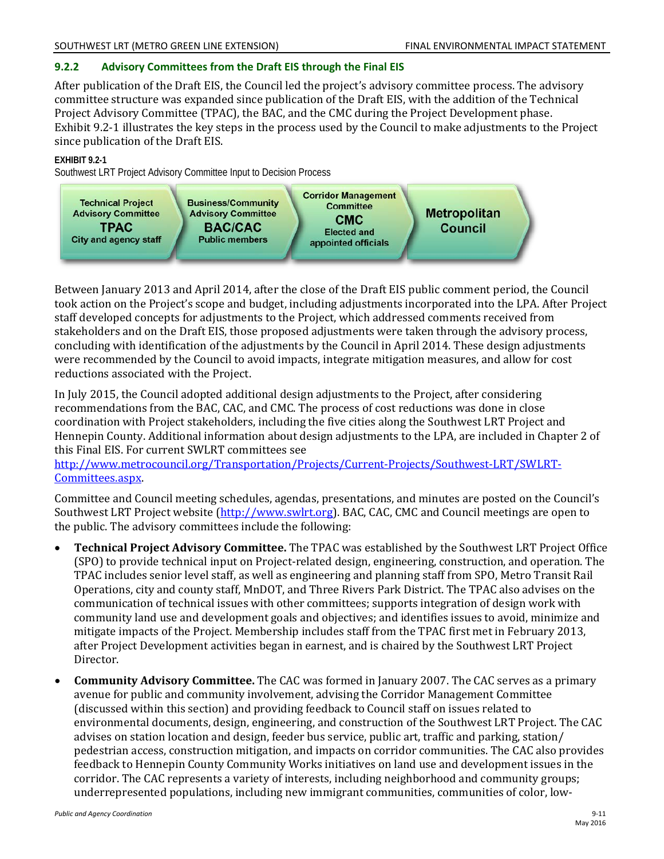### **9.2.2 Advisory Committees from the Draft EIS through the Final EIS**

After publication of the Draft EIS, the Council led the project's advisory committee process. The advisory committee structure was expanded since publication of the Draft EIS, with the addition of the Technical Project Advisory Committee (TPAC), the BAC, and the CMC during the Project Development phase. Exhibit 9.2-1 illustrates the key steps in the process used by the Council to make adjustments to the Project since publication of the Draft EIS.

#### **EXHIBIT 9.2-1**

Southwest LRT Project Advisory Committee Input to Decision Process



Between January 2013 and April 2014, after the close of the Draft EIS public comment period, the Council took action on the Project's scope and budget, including adjustments incorporated into the LPA. After Project staff developed concepts for adjustments to the Project, which addressed comments received from stakeholders and on the Draft EIS, those proposed adjustments were taken through the advisory process, concluding with identification of the adjustments by the Council in April 2014. These design adjustments were recommended by the Council to avoid impacts, integrate mitigation measures, and allow for cost reductions associated with the Project.

In July 2015, the Council adopted additional design adjustments to the Project, after considering recommendations from the BAC, CAC, and CMC. The process of cost reductions was done in close coordination with Project stakeholders, including the five cities along the Southwest LRT Project and Hennepin County. Additional information about design adjustments to the LPA, are included in Chapter 2 of this Final EIS. For current SWLRT committees see

[http://www.metrocouncil.org/Transportation/Projects/Current-Projects/Southwest-LRT/SWLRT-](http://www.metrocouncil.org/Transportation/Projects/Current-Projects/Southwest-LRT/SWLRT-Committees.aspx)[Committees.aspx.](http://www.metrocouncil.org/Transportation/Projects/Current-Projects/Southwest-LRT/SWLRT-Committees.aspx) 

Committee and Council meeting schedules, agendas, presentations, and minutes are posted on the Council's Southwest LRT Project website [\(http://www.swlrt.org\)](http://www.swlrt.org/). BAC, CAC, CMC and Council meetings are open to the public. The advisory committees include the following:

- **Technical Project Advisory Committee.** The TPAC was established by the Southwest LRT Project Office (SPO) to provide technical input on Project-related design, engineering, construction, and operation. The TPAC includes senior level staff, as well as engineering and planning staff from SPO, Metro Transit Rail Operations, city and county staff, MnDOT, and Three Rivers Park District. The TPAC also advises on the communication of technical issues with other committees; supports integration of design work with community land use and development goals and objectives; and identifies issues to avoid, minimize and mitigate impacts of the Project. Membership includes staff from the TPAC first met in February 2013, after Project Development activities began in earnest, and is chaired by the Southwest LRT Project Director.
- **Community Advisory Committee.** The CAC was formed in January 2007. The CAC serves as a primary avenue for public and community involvement, advising the Corridor Management Committee (discussed within this section) and providing feedback to Council staff on issues related to environmental documents, design, engineering, and construction of the Southwest LRT Project. The CAC advises on station location and design, feeder bus service, public art, traffic and parking, station/ pedestrian access, construction mitigation, and impacts on corridor communities. The CAC also provides feedback to Hennepin County Community Works initiatives on land use and development issues in the corridor. The CAC represents a variety of interests, including neighborhood and community groups; underrepresented populations, including new immigrant communities, communities of color, low-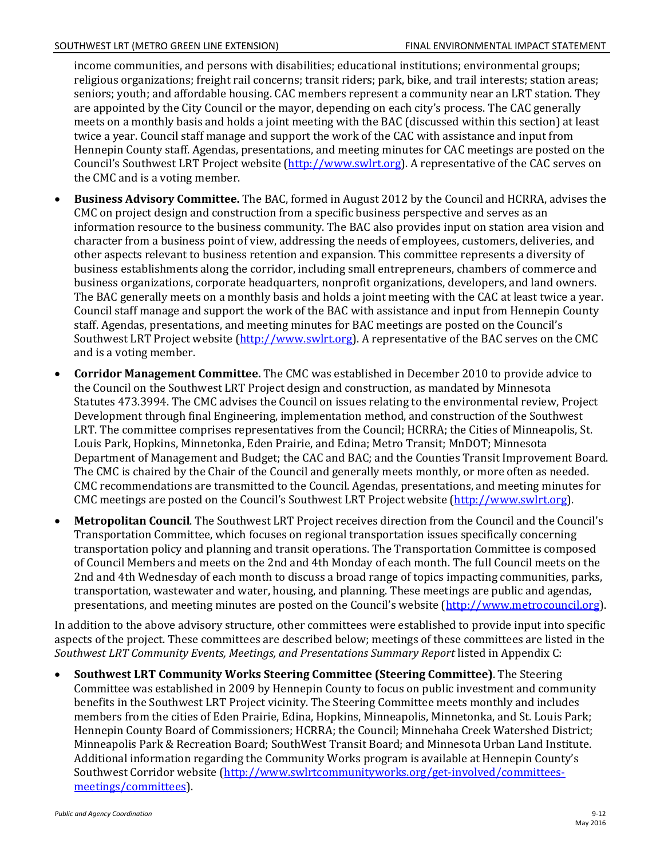income communities, and persons with disabilities; educational institutions; environmental groups; religious organizations; freight rail concerns; transit riders; park, bike, and trail interests; station areas; seniors; youth; and affordable housing. CAC members represent a community near an LRT station. They are appointed by the City Council or the mayor, depending on each city's process. The CAC generally meets on a monthly basis and holds a joint meeting with the BAC (discussed within this section) at least twice a year. Council staff manage and support the work of the CAC with assistance and input from Hennepin County staff. Agendas, presentations, and meeting minutes for CAC meetings are posted on the Council's Southwest LRT Project website [\(http://www.swlrt.org\)](http://www.swlrt.org/). A representative of the CAC serves on the CMC and is a voting member.

- **Business Advisory Committee.** The BAC, formed in August 2012 by the Council and HCRRA, advises the CMC on project design and construction from a specific business perspective and serves as an information resource to the business community. The BAC also provides input on station area vision and character from a business point of view, addressing the needs of employees, customers, deliveries, and other aspects relevant to business retention and expansion. This committee represents a diversity of business establishments along the corridor, including small entrepreneurs, chambers of commerce and business organizations, corporate headquarters, nonprofit organizations, developers, and land owners. The BAC generally meets on a monthly basis and holds a joint meeting with the CAC at least twice a year. Council staff manage and support the work of the BAC with assistance and input from Hennepin County staff. Agendas, presentations, and meeting minutes for BAC meetings are posted on the Council's Southwest LRT Project website [\(http://www.swlrt.org\)](http://www.swlrt.org/). A representative of the BAC serves on the CMC and is a voting member.
- **Corridor Management Committee.** The CMC was established in December 2010 to provide advice to the Council on the Southwest LRT Project design and construction, as mandated by Minnesota Statutes 473.3994. The CMC advises the Council on issues relating to the environmental review, Project Development through final Engineering, implementation method, and construction of the Southwest LRT. The committee comprises representatives from the Council; HCRRA; the Cities of Minneapolis, St. Louis Park, Hopkins, Minnetonka, Eden Prairie, and Edina; Metro Transit; MnDOT; Minnesota Department of Management and Budget; the CAC and BAC; and the Counties Transit Improvement Board. The CMC is chaired by the Chair of the Council and generally meets monthly, or more often as needed. CMC recommendations are transmitted to the Council. Agendas, presentations, and meeting minutes for CMC meetings are posted on the Council's Southwest LRT Project website [\(http://www.swlrt.org\)](http://www.swlrt.org/).
- **Metropolitan Council**. The Southwest LRT Project receives direction from the Council and the Council's Transportation Committee, which focuses on regional transportation issues specifically concerning transportation policy and planning and transit operations. The Transportation Committee is composed of Council Members and meets on the 2nd and 4th Monday of each month. The full Council meets on the 2nd and 4th Wednesday of each month to discuss a broad range of topics impacting communities, parks, transportation, wastewater and water, housing, and planning. These meetings are public and agendas, presentations, and meeting minutes are posted on the Council's website [\(http://www.metrocouncil.org\)](http://www.metrocouncil.org/).

In addition to the above advisory structure, other committees were established to provide input into specific aspects of the project. These committees are described below; meetings of these committees are listed in the *Southwest LRT Community Events, Meetings, and Presentations Summary Report* listed in Appendix C:

• **Southwest LRT Community Works Steering Committee (Steering Committee)**. The Steering Committee was established in 2009 by Hennepin County to focus on public investment and community benefits in the Southwest LRT Project vicinity. The Steering Committee meets monthly and includes members from the cities of Eden Prairie, Edina, Hopkins, Minneapolis, Minnetonka, and St. Louis Park; Hennepin County Board of Commissioners; HCRRA; the Council; Minnehaha Creek Watershed District; Minneapolis Park & Recreation Board; SouthWest Transit Board; and Minnesota Urban Land Institute. Additional information regarding the Community Works program is available at Hennepin County's Southwest Corridor website [\(http://www.swlrtcommunityworks.org/get-involved/committees](http://www.swlrtcommunityworks.org/get-involved/committees-meetings/committees)[meetings/committees\)](http://www.swlrtcommunityworks.org/get-involved/committees-meetings/committees).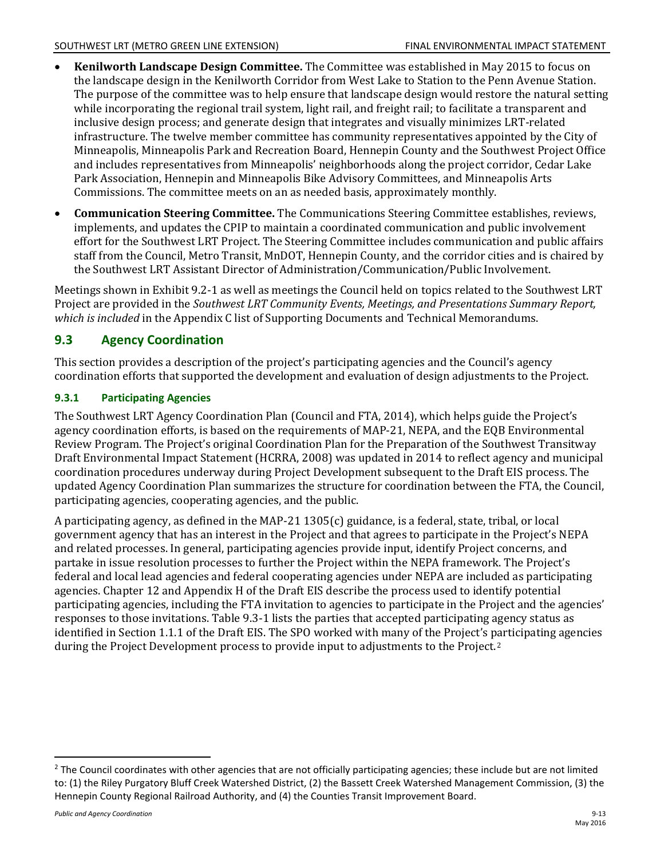- **Kenilworth Landscape Design Committee.** The Committee was established in May 2015 to focus on the landscape design in the Kenilworth Corridor from West Lake to Station to the Penn Avenue Station. The purpose of the committee was to help ensure that landscape design would restore the natural setting while incorporating the regional trail system, light rail, and freight rail; to facilitate a transparent and inclusive design process; and generate design that integrates and visually minimizes LRT-related infrastructure. The twelve member committee has community representatives appointed by the City of Minneapolis, Minneapolis Park and Recreation Board, Hennepin County and the Southwest Project Office and includes representatives from Minneapolis' neighborhoods along the project corridor, Cedar Lake Park Association, Hennepin and Minneapolis Bike Advisory Committees, and Minneapolis Arts Commissions. The committee meets on an as needed basis, approximately monthly.
- **Communication Steering Committee.** The Communications Steering Committee establishes, reviews, implements, and updates the CPIP to maintain a coordinated communication and public involvement effort for the Southwest LRT Project. The Steering Committee includes communication and public affairs staff from the Council, Metro Transit, MnDOT, Hennepin County, and the corridor cities and is chaired by the Southwest LRT Assistant Director of Administration/Communication/Public Involvement.

Meetings shown in Exhibit 9.2-1 as well as meetings the Council held on topics related to the Southwest LRT Project are provided in the *Southwest LRT Community Events, Meetings, and Presentations Summary Report, which is included* in the Appendix C list of Supporting Documents and Technical Memorandums.

# **9.3 Agency Coordination**

This section provides a description of the project's participating agencies and the Council's agency coordination efforts that supported the development and evaluation of design adjustments to the Project.

### **9.3.1 Participating Agencies**

The Southwest LRT Agency Coordination Plan (Council and FTA, 2014), which helps guide the Project's agency coordination efforts, is based on the requirements of MAP-21, NEPA, and the EQB Environmental Review Program. The Project's original Coordination Plan for the Preparation of the Southwest Transitway Draft Environmental Impact Statement (HCRRA, 2008) was updated in 2014 to reflect agency and municipal coordination procedures underway during Project Development subsequent to the Draft EIS process. The updated Agency Coordination Plan summarizes the structure for coordination between the FTA, the Council, participating agencies, cooperating agencies, and the public.

A participating agency, as defined in the MAP-21 1305(c) guidance, is a federal, state, tribal, or local government agency that has an interest in the Project and that agrees to participate in the Project's NEPA and related processes. In general, participating agencies provide input, identify Project concerns, and partake in issue resolution processes to further the Project within the NEPA framework. The Project's federal and local lead agencies and federal cooperating agencies under NEPA are included as participating agencies. Chapter 12 and Appendix H of the Draft EIS describe the process used to identify potential participating agencies, including the FTA invitation to agencies to participate in the Project and the agencies' responses to those invitations. Table 9.3-1 lists the parties that accepted participating agency status as identified in Section 1.1.1 of the Draft EIS. The SPO worked with many of the Project's participating agencies during the Project Development process to provide input to adjustments to the Project.[2](#page-12-0)

<span id="page-12-0"></span><sup>&</sup>lt;sup>2</sup> The Council coordinates with other agencies that are not officially participating agencies; these include but are not limited to: (1) the Riley Purgatory Bluff Creek Watershed District, (2) the Bassett Creek Watershed Management Commission, (3) the Hennepin County Regional Railroad Authority, and (4) the Counties Transit Improvement Board.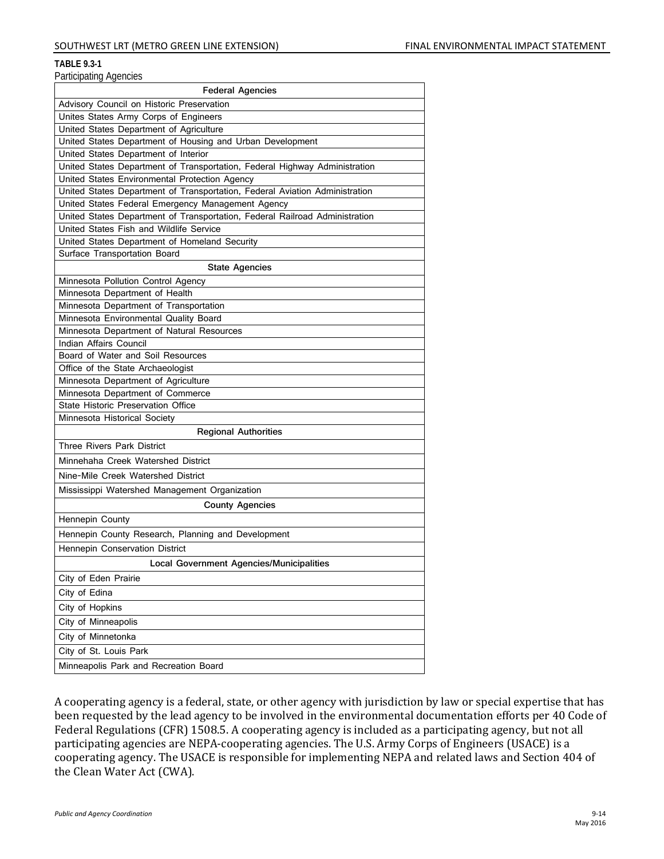#### **TABLE 9.3-1**

| anno:panny <i>n</i> yono:oo<br><b>Federal Agencies</b>                      |
|-----------------------------------------------------------------------------|
| Advisory Council on Historic Preservation                                   |
| Unites States Army Corps of Engineers                                       |
| United States Department of Agriculture                                     |
| United States Department of Housing and Urban Development                   |
| United States Department of Interior                                        |
| United States Department of Transportation, Federal Highway Administration  |
| United States Environmental Protection Agency                               |
| United States Department of Transportation, Federal Aviation Administration |
| United States Federal Emergency Management Agency                           |
| United States Department of Transportation, Federal Railroad Administration |
| United States Fish and Wildlife Service                                     |
| United States Department of Homeland Security                               |
| Surface Transportation Board                                                |
| <b>State Agencies</b>                                                       |
| Minnesota Pollution Control Agency<br>Minnesota Department of Health        |
| Minnesota Department of Transportation                                      |
| Minnesota Environmental Quality Board                                       |
| Minnesota Department of Natural Resources                                   |
| Indian Affairs Council                                                      |
| Board of Water and Soil Resources                                           |
| Office of the State Archaeologist                                           |
| Minnesota Department of Agriculture                                         |
| Minnesota Department of Commerce                                            |
| State Historic Preservation Office                                          |
| Minnesota Historical Society                                                |
| <b>Regional Authorities</b>                                                 |
| Three Rivers Park District                                                  |
| Minnehaha Creek Watershed District                                          |
| Nine-Mile Creek Watershed District                                          |
| Mississippi Watershed Management Organization                               |
| <b>County Agencies</b>                                                      |
| Hennepin County                                                             |
| Hennepin County Research, Planning and Development                          |
| Hennepin Conservation District                                              |
| Local Government Agencies/Municipalities                                    |
| City of Eden Prairie                                                        |
| City of Edina                                                               |
| City of Hopkins                                                             |
| City of Minneapolis                                                         |
| City of Minnetonka                                                          |
| City of St. Louis Park                                                      |
| Minneapolis Park and Recreation Board                                       |
|                                                                             |

A cooperating agency is a federal, state, or other agency with jurisdiction by law or special expertise that has been requested by the lead agency to be involved in the environmental documentation efforts per 40 Code of Federal Regulations (CFR) 1508.5. A cooperating agency is included as a participating agency, but not all participating agencies are NEPA-cooperating agencies. The U.S. Army Corps of Engineers (USACE) is a cooperating agency. The USACE is responsible for implementing NEPA and related laws and Section 404 of the Clean Water Act (CWA).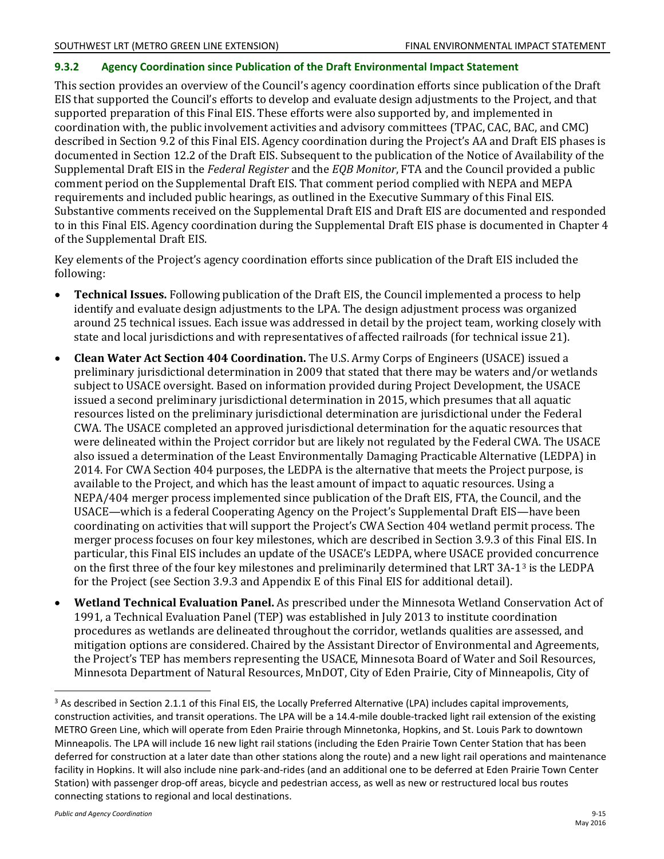### **9.3.2 Agency Coordination since Publication of the Draft Environmental Impact Statement**

This section provides an overview of the Council's agency coordination efforts since publication of the Draft EIS that supported the Council's efforts to develop and evaluate design adjustments to the Project, and that supported preparation of this Final EIS. These efforts were also supported by, and implemented in coordination with, the public involvement activities and advisory committees (TPAC, CAC, BAC, and CMC) described in Section 9.2 of this Final EIS. Agency coordination during the Project's AA and Draft EIS phases is documented in Section 12.2 of the Draft EIS. Subsequent to the publication of the Notice of Availability of the Supplemental Draft EIS in the *Federal Register* and the *EQB Monitor*, FTA and the Council provided a public comment period on the Supplemental Draft EIS. That comment period complied with NEPA and MEPA requirements and included public hearings, as outlined in the Executive Summary of this Final EIS. Substantive comments received on the Supplemental Draft EIS and Draft EIS are documented and responded to in this Final EIS. Agency coordination during the Supplemental Draft EIS phase is documented in Chapter 4 of the Supplemental Draft EIS.

Key elements of the Project's agency coordination efforts since publication of the Draft EIS included the following:

- **Technical Issues.** Following publication of the Draft EIS, the Council implemented a process to help identify and evaluate design adjustments to the LPA. The design adjustment process was organized around 25 technical issues. Each issue was addressed in detail by the project team, working closely with state and local jurisdictions and with representatives of affected railroads (for technical issue 21).
- **Clean Water Act Section 404 Coordination.** The U.S. Army Corps of Engineers (USACE) issued a preliminary jurisdictional determination in 2009 that stated that there may be waters and/or wetlands subject to USACE oversight. Based on information provided during Project Development, the USACE issued a second preliminary jurisdictional determination in 2015, which presumes that all aquatic resources listed on the preliminary jurisdictional determination are jurisdictional under the Federal CWA. The USACE completed an approved jurisdictional determination for the aquatic resources that were delineated within the Project corridor but are likely not regulated by the Federal CWA. The USACE also issued a determination of the Least Environmentally Damaging Practicable Alternative (LEDPA) in 2014. For CWA Section 404 purposes, the LEDPA is the alternative that meets the Project purpose, is available to the Project, and which has the least amount of impact to aquatic resources. Using a NEPA/404 merger process implemented since publication of the Draft EIS, FTA, the Council, and the USACE—which is a federal Cooperating Agency on the Project's Supplemental Draft EIS—have been coordinating on activities that will support the Project's CWA Section 404 wetland permit process. The merger process focuses on four key milestones, which are described in Section 3.9.3 of this Final EIS. In particular, this Final EIS includes an update of the USACE's LEDPA, where USACE provid[ed](#page-14-0) concurrence on the first three of the four key milestones and preliminarily determined that LRT 3A-13 is the LEDPA for the Project (see Section 3.9.3 and Appendix E of this Final EIS for additional detail).
- **Wetland Technical Evaluation Panel.** As prescribed under the Minnesota Wetland Conservation Act of 1991, a Technical Evaluation Panel (TEP) was established in July 2013 to institute coordination procedures as wetlands are delineated throughout the corridor, wetlands qualities are assessed, and mitigation options are considered. Chaired by the Assistant Director of Environmental and Agreements, the Project's TEP has members representing the USACE, Minnesota Board of Water and Soil Resources, Minnesota Department of Natural Resources, MnDOT, City of Eden Prairie, City of Minneapolis, City of

<span id="page-14-0"></span><sup>&</sup>lt;sup>3</sup> As described in Section 2.1.1 of this Final EIS, the Locally Preferred Alternative (LPA) includes capital improvements, construction activities, and transit operations. The LPA will be a 14.4-mile double-tracked light rail extension of the existing METRO Green Line, which will operate from Eden Prairie through Minnetonka, Hopkins, and St. Louis Park to downtown Minneapolis. The LPA will include 16 new light rail stations (including the Eden Prairie Town Center Station that has been deferred for construction at a later date than other stations along the route) and a new light rail operations and maintenance facility in Hopkins. It will also include nine park-and-rides (and an additional one to be deferred at Eden Prairie Town Center Station) with passenger drop-off areas, bicycle and pedestrian access, as well as new or restructured local bus routes connecting stations to regional and local destinations.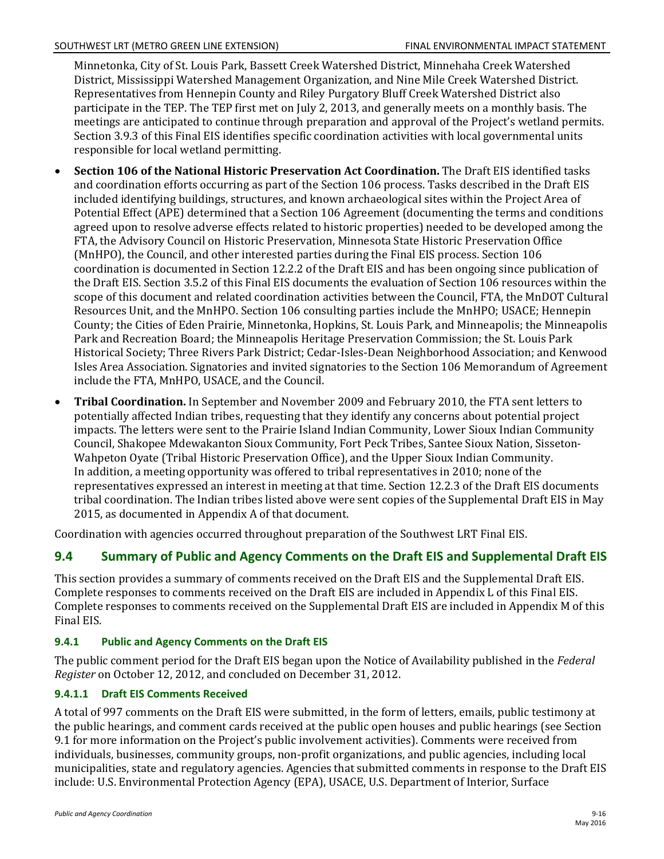Minnetonka, City of St. Louis Park, Bassett Creek Watershed District, Minnehaha Creek Watershed District, Mississippi Watershed Management Organization, and Nine Mile Creek Watershed District. Representatives from Hennepin County and Riley Purgatory Bluff Creek Watershed District also participate in the TEP. The TEP first met on July 2, 2013, and generally meets on a monthly basis. The meetings are anticipated to continue through preparation and approval of the Project's wetland permits. Section 3.9.3 of this Final EIS identifies specific coordination activities with local governmental units responsible for local wetland permitting.

- **Section 106 of the National Historic Preservation Act Coordination.** The Draft EIS identified tasks and coordination efforts occurring as part of the Section 106 process. Tasks described in the Draft EIS included identifying buildings, structures, and known archaeological sites within the Project Area of Potential Effect (APE) determined that a Section 106 Agreement (documenting the terms and conditions agreed upon to resolve adverse effects related to historic properties) needed to be developed among the FTA, the Advisory Council on Historic Preservation, Minnesota State Historic Preservation Office (MnHPO), the Council, and other interested parties during the Final EIS process. Section 106 coordination is documented in Section 12.2.2 of the Draft EIS and has been ongoing since publication of the Draft EIS. Section 3.5.2 of this Final EIS documents the evaluation of Section 106 resources within the scope of this document and related coordination activities between the Council, FTA, the MnDOT Cultural Resources Unit, and the MnHPO. Section 106 consulting parties include the MnHPO; USACE; Hennepin County; the Cities of Eden Prairie, Minnetonka, Hopkins, St. Louis Park, and Minneapolis; the Minneapolis Park and Recreation Board; the Minneapolis Heritage Preservation Commission; the St. Louis Park Historical Society; Three Rivers Park District; Cedar-Isles-Dean Neighborhood Association; and Kenwood Isles Area Association. Signatories and invited signatories to the Section 106 Memorandum of Agreement include the FTA, MnHPO, USACE, and the Council.
- **Tribal Coordination.** In September and November 2009 and February 2010, the FTA sent letters to potentially affected Indian tribes, requesting that they identify any concerns about potential project impacts. The letters were sent to the Prairie Island Indian Community, Lower Sioux Indian Community Council, Shakopee Mdewakanton Sioux Community, Fort Peck Tribes, Santee Sioux Nation, Sisseton-Wahpeton Oyate (Tribal Historic Preservation Office), and the Upper Sioux Indian Community. In addition, a meeting opportunity was offered to tribal representatives in 2010; none of the representatives expressed an interest in meeting at that time. Section 12.2.3 of the Draft EIS documents tribal coordination. The Indian tribes listed above were sent copies of the Supplemental Draft EIS in May 2015, as documented in Appendix A of that document.

Coordination with agencies occurred throughout preparation of the Southwest LRT Final EIS.

# **9.4 Summary of Public and Agency Comments on the Draft EIS and Supplemental Draft EIS**

This section provides a summary of comments received on the Draft EIS and the Supplemental Draft EIS. Complete responses to comments received on the Draft EIS are included in Appendix L of this Final EIS. Complete responses to comments received on the Supplemental Draft EIS are included in Appendix M of this Final EIS.

### **9.4.1 Public and Agency Comments on the Draft EIS**

The public comment period for the Draft EIS began upon the Notice of Availability published in the *Federal Register* on October 12, 2012, and concluded on December 31, 2012.

### **9.4.1.1 Draft EIS Comments Received**

A total of 997 comments on the Draft EIS were submitted, in the form of letters, emails, public testimony at the public hearings, and comment cards received at the public open houses and public hearings (see Section 9.1 for more information on the Project's public involvement activities). Comments were received from individuals, businesses, community groups, non-profit organizations, and public agencies, including local municipalities, state and regulatory agencies. Agencies that submitted comments in response to the Draft EIS include: U.S. Environmental Protection Agency (EPA), USACE, U.S. Department of Interior, Surface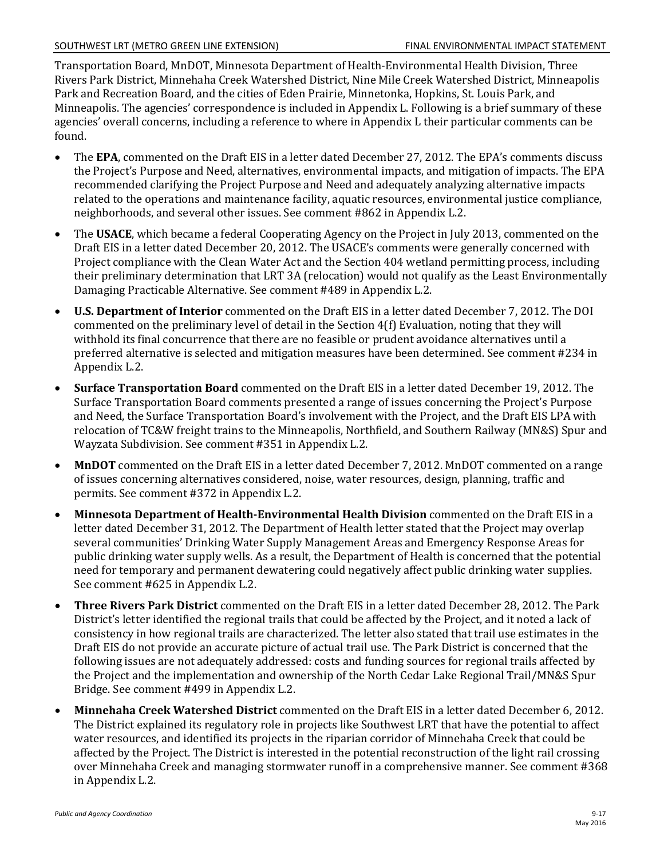Transportation Board, MnDOT, Minnesota Department of Health-Environmental Health Division, Three Rivers Park District, Minnehaha Creek Watershed District, Nine Mile Creek Watershed District, Minneapolis Park and Recreation Board, and the cities of Eden Prairie, Minnetonka, Hopkins, St. Louis Park, and Minneapolis. The agencies' correspondence is included in Appendix L. Following is a brief summary of these agencies' overall concerns, including a reference to where in Appendix L their particular comments can be found.

- The **EPA**, commented on the Draft EIS in a letter dated December 27, 2012. The EPA's comments discuss the Project's Purpose and Need, alternatives, environmental impacts, and mitigation of impacts. The EPA recommended clarifying the Project Purpose and Need and adequately analyzing alternative impacts related to the operations and maintenance facility, aquatic resources, environmental justice compliance, neighborhoods, and several other issues. See comment #862 in Appendix L.2.
- The **USACE**, which became a federal Cooperating Agency on the Project in July 2013, commented on the Draft EIS in a letter dated December 20, 2012. The USACE's comments were generally concerned with Project compliance with the Clean Water Act and the Section 404 wetland permitting process, including their preliminary determination that LRT 3A (relocation) would not qualify as the Least Environmentally Damaging Practicable Alternative. See comment #489 in Appendix L.2.
- **U.S. Department of Interior** commented on the Draft EIS in a letter dated December 7, 2012. The DOI commented on the preliminary level of detail in the Section 4(f) Evaluation, noting that they will withhold its final concurrence that there are no feasible or prudent avoidance alternatives until a preferred alternative is selected and mitigation measures have been determined. See comment #234 in Appendix L.2.
- **Surface Transportation Board** commented on the Draft EIS in a letter dated December 19, 2012. The Surface Transportation Board comments presented a range of issues concerning the Project's Purpose and Need, the Surface Transportation Board's involvement with the Project, and the Draft EIS LPA with relocation of TC&W freight trains to the Minneapolis, Northfield, and Southern Railway (MN&S) Spur and Wayzata Subdivision. See comment #351 in Appendix L.2.
- **MnDOT** commented on the Draft EIS in a letter dated December 7, 2012. MnDOT commented on a range of issues concerning alternatives considered, noise, water resources, design, planning, traffic and permits. See comment #372 in Appendix L.2.
- **Minnesota Department of Health-Environmental Health Division** commented on the Draft EIS in a letter dated December 31, 2012. The Department of Health letter stated that the Project may overlap several communities' Drinking Water Supply Management Areas and Emergency Response Areas for public drinking water supply wells. As a result, the Department of Health is concerned that the potential need for temporary and permanent dewatering could negatively affect public drinking water supplies. See comment #625 in Appendix L.2.
- **Three Rivers Park District** commented on the Draft EIS in a letter dated December 28, 2012. The Park District's letter identified the regional trails that could be affected by the Project, and it noted a lack of consistency in how regional trails are characterized. The letter also stated that trail use estimates in the Draft EIS do not provide an accurate picture of actual trail use. The Park District is concerned that the following issues are not adequately addressed: costs and funding sources for regional trails affected by the Project and the implementation and ownership of the North Cedar Lake Regional Trail/MN&S Spur Bridge. See comment #499 in Appendix L.2.
- **Minnehaha Creek Watershed District** commented on the Draft EIS in a letter dated December 6, 2012. The District explained its regulatory role in projects like Southwest LRT that have the potential to affect water resources, and identified its projects in the riparian corridor of Minnehaha Creek that could be affected by the Project. The District is interested in the potential reconstruction of the light rail crossing over Minnehaha Creek and managing stormwater runoff in a comprehensive manner. See comment #368 in Appendix L.2.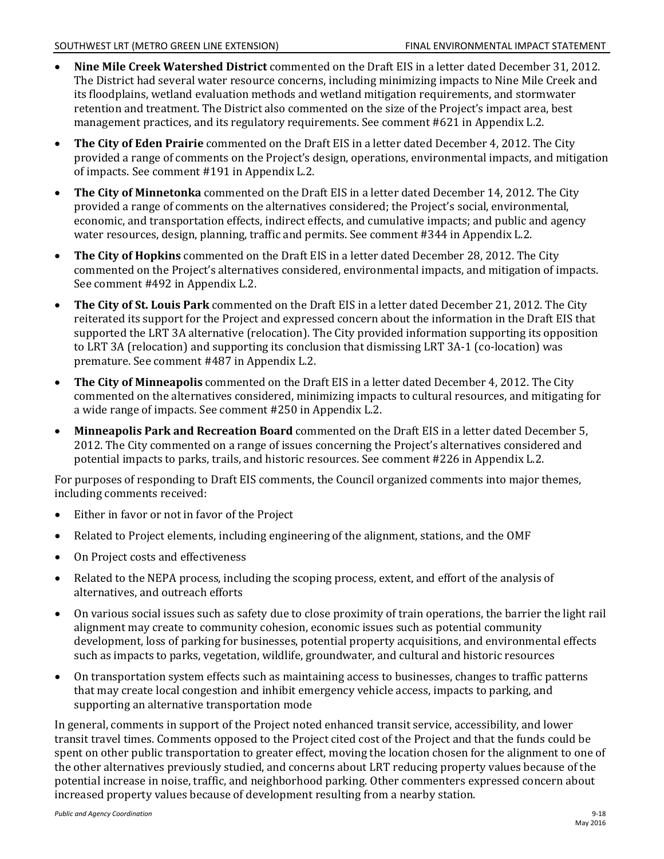- **Nine Mile Creek Watershed District** commented on the Draft EIS in a letter dated December 31, 2012. The District had several water resource concerns, including minimizing impacts to Nine Mile Creek and its floodplains, wetland evaluation methods and wetland mitigation requirements, and stormwater retention and treatment. The District also commented on the size of the Project's impact area, best management practices, and its regulatory requirements. See comment #621 in Appendix L.2.
- **The City of Eden Prairie** commented on the Draft EIS in a letter dated December 4, 2012. The City provided a range of comments on the Project's design, operations, environmental impacts, and mitigation of impacts. See comment #191 in Appendix L.2.
- **The City of Minnetonka** commented on the Draft EIS in a letter dated December 14, 2012. The City provided a range of comments on the alternatives considered; the Project's social, environmental, economic, and transportation effects, indirect effects, and cumulative impacts; and public and agency water resources, design, planning, traffic and permits. See comment #344 in Appendix L.2.
- **The City of Hopkins** commented on the Draft EIS in a letter dated December 28, 2012. The City commented on the Project's alternatives considered, environmental impacts, and mitigation of impacts. See comment #492 in Appendix L.2.
- **The City of St. Louis Park** commented on the Draft EIS in a letter dated December 21, 2012. The City reiterated its support for the Project and expressed concern about the information in the Draft EIS that supported the LRT 3A alternative (relocation). The City provided information supporting its opposition to LRT 3A (relocation) and supporting its conclusion that dismissing LRT 3A-1 (co-location) was premature. See comment #487 in Appendix L.2.
- **The City of Minneapolis** commented on the Draft EIS in a letter dated December 4, 2012. The City commented on the alternatives considered, minimizing impacts to cultural resources, and mitigating for a wide range of impacts. See comment #250 in Appendix L.2.
- $\bullet$ **Minneapolis Park and Recreation Board** commented on the Draft EIS in a letter dated December 5, 2012. The City commented on a range of issues concerning the Project's alternatives considered and potential impacts to parks, trails, and historic resources. See comment #226 in Appendix L.2.

For purposes of responding to Draft EIS comments, the Council organized comments into major themes, including comments received:

- Either in favor or not in favor of the Project
- $\bullet$ Related to Project elements, including engineering of the alignment, stations, and the OMF
- On Project costs and effectiveness
- Related to the NEPA process, including the scoping process, extent, and effort of the analysis of alternatives, and outreach efforts
- On various social issues such as safety due to close proximity of train operations, the barrier the light rail alignment may create to community cohesion, economic issues such as potential community development, loss of parking for businesses, potential property acquisitions, and environmental effects such as impacts to parks, vegetation, wildlife, groundwater, and cultural and historic resources
- On transportation system effects such as maintaining access to businesses, changes to traffic patterns that may create local congestion and inhibit emergency vehicle access, impacts to parking, and supporting an alternative transportation mode

In general, comments in support of the Project noted enhanced transit service, accessibility, and lower transit travel times. Comments opposed to the Project cited cost of the Project and that the funds could be spent on other public transportation to greater effect, moving the location chosen for the alignment to one of the other alternatives previously studied, and concerns about LRT reducing property values because of the potential increase in noise, traffic, and neighborhood parking. Other commenters expressed concern about increased property values because of development resulting from a nearby station.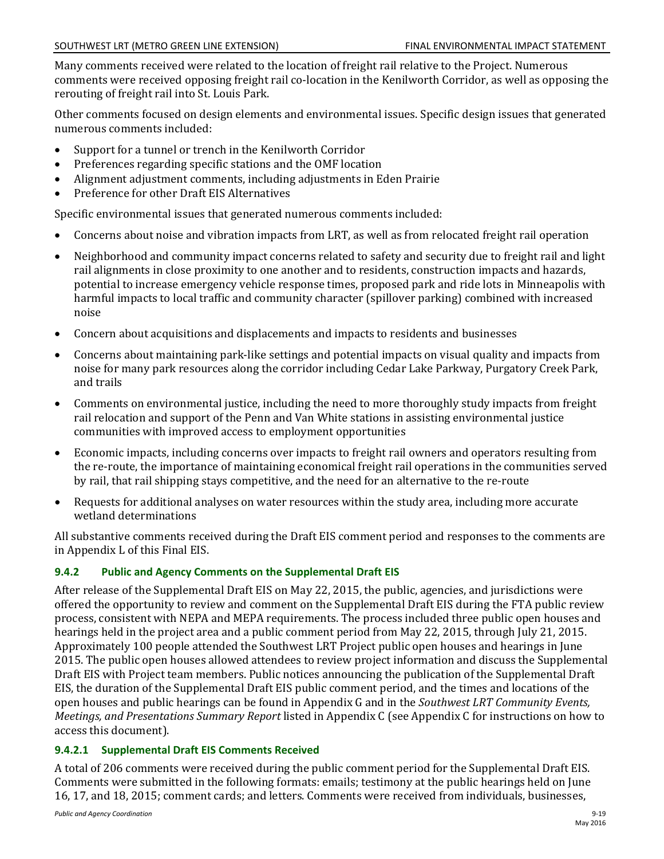Many comments received were related to the location of freight rail relative to the Project. Numerous comments were received opposing freight rail co-location in the Kenilworth Corridor, as well as opposing the rerouting of freight rail into St. Louis Park.

Other comments focused on design elements and environmental issues. Specific design issues that generated numerous comments included:

- Support for a tunnel or trench in the Kenilworth Corridor
- Preferences regarding specific stations and the OMF location
- Alignment adjustment comments, including adjustments in Eden Prairie
- Preference for other Draft EIS Alternatives

Specific environmental issues that generated numerous comments included:

- Concerns about noise and vibration impacts from LRT, as well as from relocated freight rail operation
- Neighborhood and community impact concerns related to safety and security due to freight rail and light rail alignments in close proximity to one another and to residents, construction impacts and hazards, potential to increase emergency vehicle response times, proposed park and ride lots in Minneapolis with harmful impacts to local traffic and community character (spillover parking) combined with increased noise
- Concern about acquisitions and displacements and impacts to residents and businesses
- Concerns about maintaining park-like settings and potential impacts on visual quality and impacts from noise for many park resources along the corridor including Cedar Lake Parkway, Purgatory Creek Park, and trails
- Comments on environmental justice, including the need to more thoroughly study impacts from freight rail relocation and support of the Penn and Van White stations in assisting environmental justice communities with improved access to employment opportunities
- $\bullet$ Economic impacts, including concerns over impacts to freight rail owners and operators resulting from the re-route, the importance of maintaining economical freight rail operations in the communities served by rail, that rail shipping stays competitive, and the need for an alternative to the re-route
- Requests for additional analyses on water resources within the study area, including more accurate wetland determinations

All substantive comments received during the Draft EIS comment period and responses to the comments are in Appendix L of this Final EIS.

## **9.4.2 Public and Agency Comments on the Supplemental Draft EIS**

After release of the Supplemental Draft EIS on May 22, 2015, the public, agencies, and jurisdictions were offered the opportunity to review and comment on the Supplemental Draft EIS during the FTA public review process, consistent with NEPA and MEPA requirements. The process included three public open houses and hearings held in the project area and a public comment period from May 22, 2015, through July 21, 2015. Approximately 100 people attended the Southwest LRT Project public open houses and hearings in June 2015. The public open houses allowed attendees to review project information and discuss the Supplemental Draft EIS with Project team members. Public notices announcing the publication of the Supplemental Draft EIS, the duration of the Supplemental Draft EIS public comment period, and the times and locations of the open houses and public hearings can be found in Appendix G and in the *Southwest LRT Community Events, Meetings, and Presentations Summary Report* listed in Appendix C (see Appendix C for instructions on how to access this document).

### **9.4.2.1 Supplemental Draft EIS Comments Received**

A total of 206 comments were received during the public comment period for the Supplemental Draft EIS. Comments were submitted in the following formats: emails; testimony at the public hearings held on June 16, 17, and 18, 2015; comment cards; and letters. Comments were received from individuals, businesses,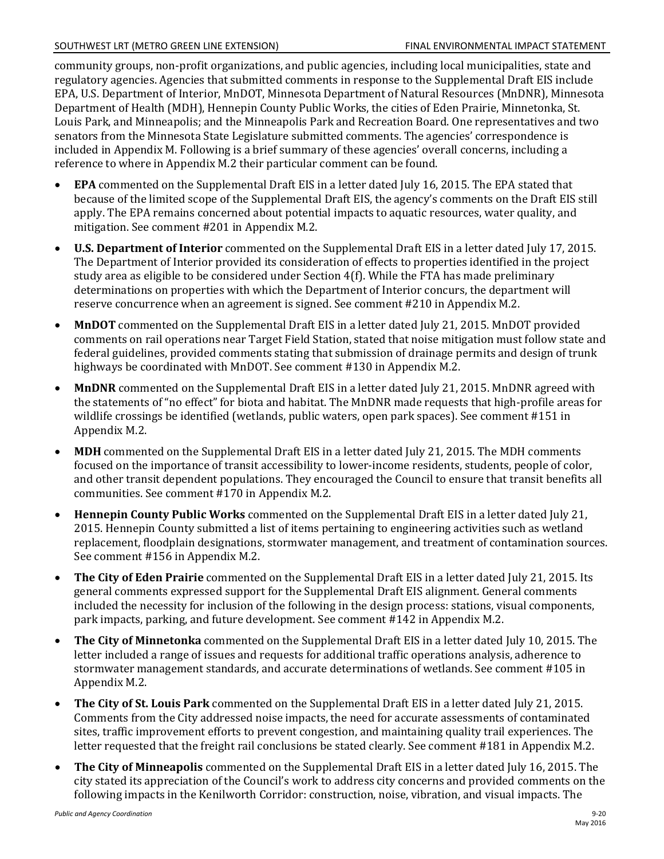community groups, non-profit organizations, and public agencies, including local municipalities, state and regulatory agencies. Agencies that submitted comments in response to the Supplemental Draft EIS include EPA, U.S. Department of Interior, MnDOT, Minnesota Department of Natural Resources (MnDNR), Minnesota Department of Health (MDH), Hennepin County Public Works, the cities of Eden Prairie, Minnetonka, St. Louis Park, and Minneapolis; and the Minneapolis Park and Recreation Board. One representatives and two senators from the Minnesota State Legislature submitted comments. The agencies' correspondence is included in Appendix M. Following is a brief summary of these agencies' overall concerns, including a reference to where in Appendix M.2 their particular comment can be found.

- **EPA** commented on the Supplemental Draft EIS in a letter dated July 16, 2015. The EPA stated that because of the limited scope of the Supplemental Draft EIS, the agency's comments on the Draft EIS still apply. The EPA remains concerned about potential impacts to aquatic resources, water quality, and mitigation. See comment #201 in Appendix M.2.
- **U.S. Department of Interior** commented on the Supplemental Draft EIS in a letter dated July 17, 2015. The Department of Interior provided its consideration of effects to properties identified in the project study area as eligible to be considered under Section 4(f). While the FTA has made preliminary determinations on properties with which the Department of Interior concurs, the department will reserve concurrence when an agreement is signed. See comment #210 in Appendix M.2.
- **MnDOT** commented on the Supplemental Draft EIS in a letter dated July 21, 2015. MnDOT provided comments on rail operations near Target Field Station, stated that noise mitigation must follow state and federal guidelines, provided comments stating that submission of drainage permits and design of trunk highways be coordinated with MnDOT. See comment #130 in Appendix M.2.
- **MnDNR** commented on the Supplemental Draft EIS in a letter dated July 21, 2015. MnDNR agreed with the statements of "no effect" for biota and habitat. The MnDNR made requests that high-profile areas for wildlife crossings be identified (wetlands, public waters, open park spaces). See comment #151 in Appendix M.2.
- **MDH** commented on the Supplemental Draft EIS in a letter dated July 21, 2015. The MDH comments focused on the importance of transit accessibility to lower-income residents, students, people of color, and other transit dependent populations. They encouraged the Council to ensure that transit benefits all communities. See comment #170 in Appendix M.2.
- **Hennepin County Public Works** commented on the Supplemental Draft EIS in a letter dated July 21, 2015. Hennepin County submitted a list of items pertaining to engineering activities such as wetland replacement, floodplain designations, stormwater management, and treatment of contamination sources. See comment #156 in Appendix M.2.
- **The City of Eden Prairie** commented on the Supplemental Draft EIS in a letter dated July 21, 2015. Its general comments expressed support for the Supplemental Draft EIS alignment. General comments included the necessity for inclusion of the following in the design process: stations, visual components, park impacts, parking, and future development. See comment #142 in Appendix M.2.
- **The City of Minnetonka** commented on the Supplemental Draft EIS in a letter dated July 10, 2015. The letter included a range of issues and requests for additional traffic operations analysis, adherence to stormwater management standards, and accurate determinations of wetlands. See comment #105 in Appendix M.2.
- **The City of St. Louis Park** commented on the Supplemental Draft EIS in a letter dated July 21, 2015. Comments from the City addressed noise impacts, the need for accurate assessments of contaminated sites, traffic improvement efforts to prevent congestion, and maintaining quality trail experiences. The letter requested that the freight rail conclusions be stated clearly. See comment #181 in Appendix M.2.
- **The City of Minneapolis** commented on the Supplemental Draft EIS in a letter dated July 16, 2015. The city stated its appreciation of the Council's work to address city concerns and provided comments on the following impacts in the Kenilworth Corridor: construction, noise, vibration, and visual impacts. The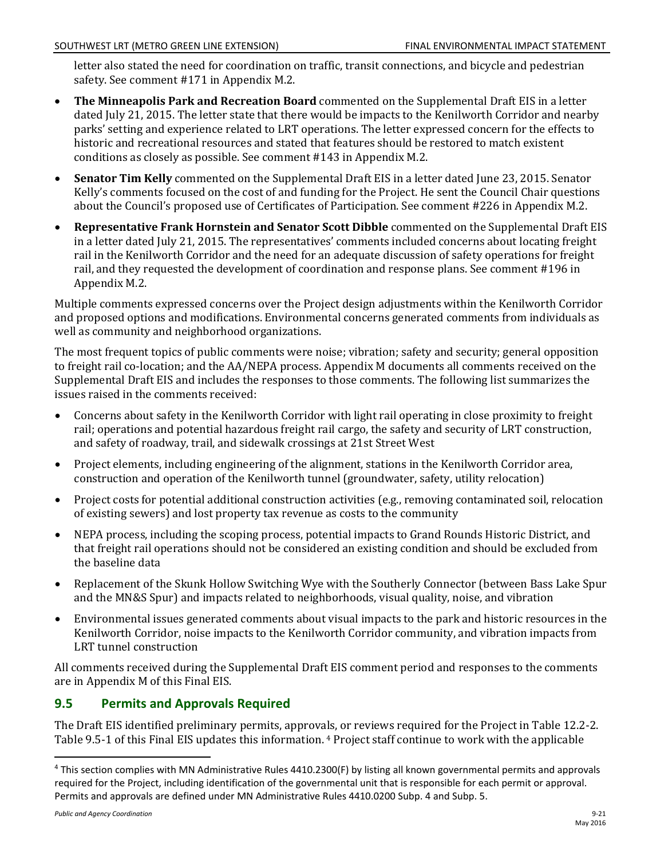letter also stated the need for coordination on traffic, transit connections, and bicycle and pedestrian safety. See comment #171 in Appendix M.2.

- **The Minneapolis Park and Recreation Board** commented on the Supplemental Draft EIS in a letter dated July 21, 2015. The letter state that there would be impacts to the Kenilworth Corridor and nearby parks' setting and experience related to LRT operations. The letter expressed concern for the effects to historic and recreational resources and stated that features should be restored to match existent conditions as closely as possible. See comment #143 in Appendix M.2.
- **Senator Tim Kelly** commented on the Supplemental Draft EIS in a letter dated June 23, 2015. Senator Kelly's comments focused on the cost of and funding for the Project. He sent the Council Chair questions about the Council's proposed use of Certificates of Participation. See comment #226 in Appendix M.2.
- **Representative Frank Hornstein and Senator Scott Dibble** commented on the Supplemental Draft EIS in a letter dated July 21, 2015. The representatives' comments included concerns about locating freight rail in the Kenilworth Corridor and the need for an adequate discussion of safety operations for freight rail, and they requested the development of coordination and response plans. See comment #196 in Appendix M.2.

Multiple comments expressed concerns over the Project design adjustments within the Kenilworth Corridor and proposed options and modifications. Environmental concerns generated comments from individuals as well as community and neighborhood organizations.

The most frequent topics of public comments were noise; vibration; safety and security; general opposition to freight rail co-location; and the AA/NEPA process. Appendix M documents all comments received on the Supplemental Draft EIS and includes the responses to those comments. The following list summarizes the issues raised in the comments received:

- Concerns about safety in the Kenilworth Corridor with light rail operating in close proximity to freight rail; operations and potential hazardous freight rail cargo, the safety and security of LRT construction, and safety of roadway, trail, and sidewalk crossings at 21st Street West
- Project elements, including engineering of the alignment, stations in the Kenilworth Corridor area, construction and operation of the Kenilworth tunnel (groundwater, safety, utility relocation)
- Project costs for potential additional construction activities (e.g., removing contaminated soil, relocation of existing sewers) and lost property tax revenue as costs to the community
- NEPA process, including the scoping process, potential impacts to Grand Rounds Historic District, and that freight rail operations should not be considered an existing condition and should be excluded from the baseline data
- Replacement of the Skunk Hollow Switching Wye with the Southerly Connector (between Bass Lake Spur and the MN&S Spur) and impacts related to neighborhoods, visual quality, noise, and vibration
- Environmental issues generated comments about visual impacts to the park and historic resources in the Kenilworth Corridor, noise impacts to the Kenilworth Corridor community, and vibration impacts from LRT tunnel construction

All comments received during the Supplemental Draft EIS comment period and responses to the comments are in Appendix M of this Final EIS.

# **9.5 Permits and Approvals Required**

The Draft EIS identified preliminary permits, approvals, or reviews required for the Project in Table 12.2-2. Table 9.5-1 of this Final EIS updates this information. [4](#page-20-0) Project staff continue to work with the applicable

<span id="page-20-0"></span><sup>&</sup>lt;sup>4</sup> This section complies with MN Administrative Rules 4410.2300(F) by listing all known governmental permits and approvals required for the Project, including identification of the governmental unit that is responsible for each permit or approval. Permits and approvals are defined under MN Administrative Rules 4410.0200 Subp. 4 and Subp. 5.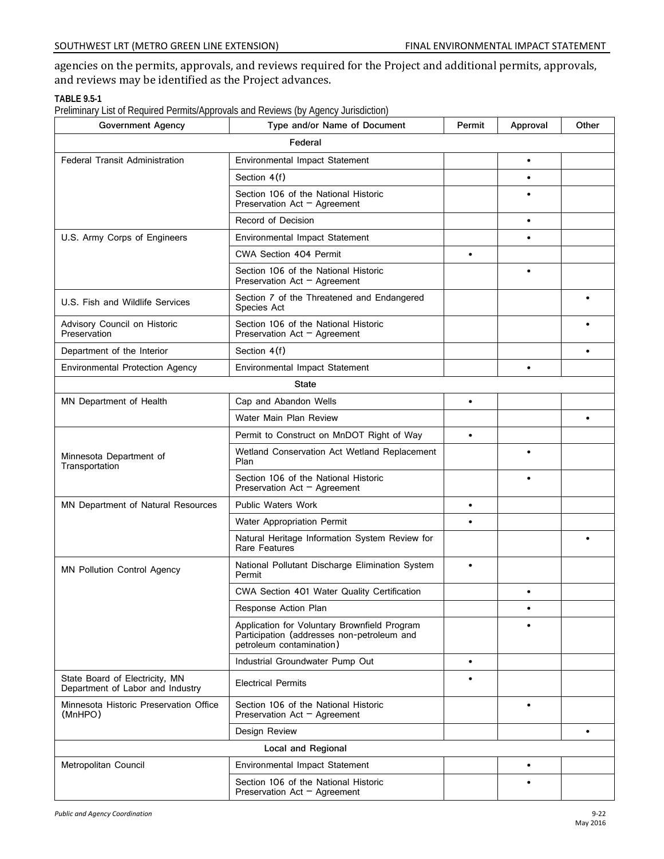agencies on the permits, approvals, and reviews required for the Project and additional permits, approvals, and reviews may be identified as the Project advances.

### **TABLE 9.5-1**

Preliminary List of Required Permits/Approvals and Reviews (by Agency Jurisdiction)

| <b>Government Agency</b>                                           | Type and/or Name of Document                                                                                           | Permit    | Approval  | Other     |
|--------------------------------------------------------------------|------------------------------------------------------------------------------------------------------------------------|-----------|-----------|-----------|
|                                                                    | Federal                                                                                                                |           |           |           |
| <b>Federal Transit Administration</b>                              | Environmental Impact Statement                                                                                         |           | $\bullet$ |           |
|                                                                    | Section 4(f)                                                                                                           |           | $\bullet$ |           |
|                                                                    | Section 106 of the National Historic<br>Preservation Act $-$ Agreement                                                 |           |           |           |
|                                                                    | Record of Decision                                                                                                     |           | $\bullet$ |           |
| U.S. Army Corps of Engineers                                       | <b>Environmental Impact Statement</b>                                                                                  |           | $\bullet$ |           |
|                                                                    | CWA Section 404 Permit                                                                                                 | $\bullet$ |           |           |
|                                                                    | Section 106 of the National Historic<br>Preservation Act $-$ Agreement                                                 |           | $\bullet$ |           |
| U.S. Fish and Wildlife Services                                    | Section 7 of the Threatened and Endangered<br>Species Act                                                              |           |           |           |
| Advisory Council on Historic<br>Preservation                       | Section 106 of the National Historic<br>Preservation Act - Agreement                                                   |           |           |           |
| Department of the Interior                                         | Section 4(f)                                                                                                           |           |           |           |
| <b>Environmental Protection Agency</b>                             | <b>Environmental Impact Statement</b>                                                                                  |           | $\bullet$ |           |
|                                                                    | <b>State</b>                                                                                                           |           |           |           |
| MN Department of Health                                            | Cap and Abandon Wells                                                                                                  | $\bullet$ |           |           |
|                                                                    | Water Main Plan Review                                                                                                 |           |           | $\bullet$ |
|                                                                    | Permit to Construct on MnDOT Right of Way                                                                              | $\bullet$ |           |           |
| Minnesota Department of<br>Transportation                          | Wetland Conservation Act Wetland Replacement<br>Plan                                                                   |           | $\bullet$ |           |
|                                                                    | Section 106 of the National Historic<br>Preservation Act $-$ Agreement                                                 |           | $\bullet$ |           |
| MN Department of Natural Resources                                 | <b>Public Waters Work</b>                                                                                              | $\bullet$ |           |           |
|                                                                    | Water Appropriation Permit                                                                                             | $\bullet$ |           |           |
|                                                                    | Natural Heritage Information System Review for<br>Rare Features                                                        |           |           |           |
| <b>MN Pollution Control Agency</b>                                 | National Pollutant Discharge Elimination System<br>Permit                                                              | $\bullet$ |           |           |
|                                                                    | CWA Section 401 Water Quality Certification                                                                            |           |           |           |
|                                                                    | Response Action Plan                                                                                                   |           | ٠         |           |
|                                                                    | Application for Voluntary Brownfield Program<br>Participation (addresses non-petroleum and<br>petroleum contamination) |           | $\bullet$ |           |
|                                                                    | Industrial Groundwater Pump Out                                                                                        | $\bullet$ |           |           |
| State Board of Electricity, MN<br>Department of Labor and Industry | <b>Electrical Permits</b>                                                                                              | ٠         |           |           |
| Minnesota Historic Preservation Office<br>(MnHPO)                  | Section 106 of the National Historic<br>Preservation Act $-$ Agreement                                                 |           | $\bullet$ |           |
|                                                                    | Design Review                                                                                                          |           |           | $\bullet$ |
| Local and Regional                                                 |                                                                                                                        |           |           |           |
| Metropolitan Council                                               | Environmental Impact Statement                                                                                         |           | $\bullet$ |           |
|                                                                    | Section 106 of the National Historic<br>Preservation Act $-$ Agreement                                                 |           | $\bullet$ |           |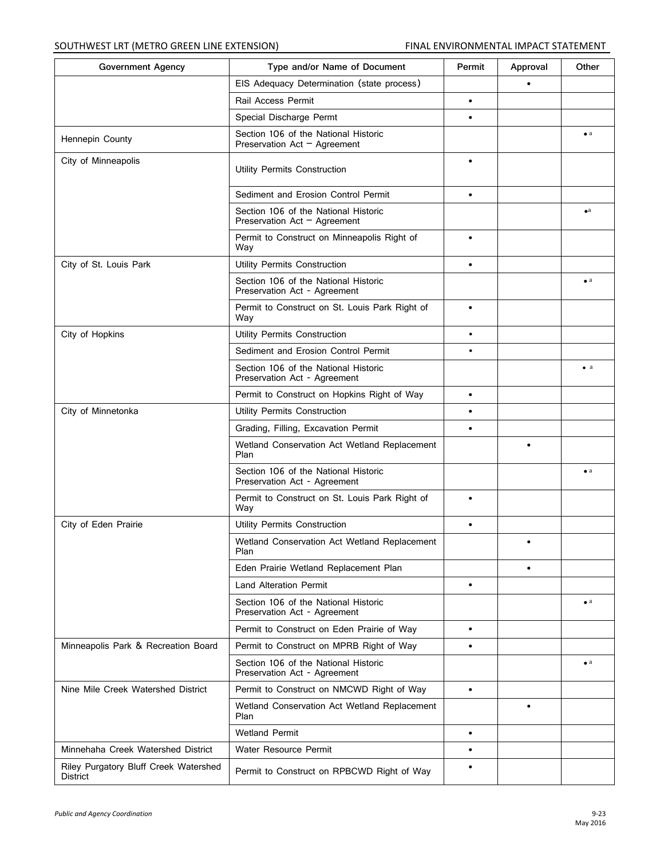| <b>Government Agency</b>                          | Type and/or Name of Document                                           | Permit    | Approval  | Other       |
|---------------------------------------------------|------------------------------------------------------------------------|-----------|-----------|-------------|
|                                                   | EIS Adequacy Determination (state process)                             |           |           |             |
|                                                   | Rail Access Permit                                                     | $\bullet$ |           |             |
|                                                   | Special Discharge Permt                                                | $\bullet$ |           |             |
| Hennepin County                                   | Section 106 of the National Historic<br>Preservation Act $-$ Agreement |           |           | $\bullet$ a |
| City of Minneapolis                               | Utility Permits Construction                                           | $\bullet$ |           |             |
|                                                   | Sediment and Erosion Control Permit                                    | $\bullet$ |           |             |
|                                                   | Section 106 of the National Historic<br>Preservation Act $-$ Agreement |           |           | $\bullet$ a |
|                                                   | Permit to Construct on Minneapolis Right of<br>Way                     | $\bullet$ |           |             |
| City of St. Louis Park                            | Utility Permits Construction                                           | $\bullet$ |           |             |
|                                                   | Section 106 of the National Historic<br>Preservation Act - Agreement   |           |           | $\bullet$ a |
|                                                   | Permit to Construct on St. Louis Park Right of<br>Way                  | $\bullet$ |           |             |
| City of Hopkins                                   | Utility Permits Construction                                           | $\bullet$ |           |             |
|                                                   | Sediment and Erosion Control Permit                                    | $\bullet$ |           |             |
|                                                   | Section 106 of the National Historic<br>Preservation Act - Agreement   |           |           | $\bullet$ a |
|                                                   | Permit to Construct on Hopkins Right of Way                            | $\bullet$ |           |             |
| City of Minnetonka                                | Utility Permits Construction                                           | $\bullet$ |           |             |
|                                                   | Grading, Filling, Excavation Permit                                    | $\bullet$ |           |             |
|                                                   | Wetland Conservation Act Wetland Replacement<br>Plan                   |           | $\bullet$ |             |
|                                                   | Section 106 of the National Historic<br>Preservation Act - Agreement   |           |           | $\bullet$ a |
|                                                   | Permit to Construct on St. Louis Park Right of<br>Way                  | $\bullet$ |           |             |
| City of Eden Prairie                              | Utility Permits Construction                                           | $\bullet$ |           |             |
|                                                   | Wetland Conservation Act Wetland Replacement<br>Plan                   |           | ٠         |             |
|                                                   | Eden Prairie Wetland Replacement Plan                                  |           | $\bullet$ |             |
|                                                   | <b>Land Alteration Permit</b>                                          | $\bullet$ |           |             |
|                                                   | Section 106 of the National Historic<br>Preservation Act - Agreement   |           |           | $\bullet$ a |
|                                                   | Permit to Construct on Eden Prairie of Way                             | $\bullet$ |           |             |
| Minneapolis Park & Recreation Board               | Permit to Construct on MPRB Right of Way                               | $\bullet$ |           |             |
|                                                   | Section 106 of the National Historic<br>Preservation Act - Agreement   |           |           | $\bullet$ a |
| Nine Mile Creek Watershed District                | Permit to Construct on NMCWD Right of Way                              | $\bullet$ |           |             |
|                                                   | Wetland Conservation Act Wetland Replacement<br>Plan                   |           | $\bullet$ |             |
|                                                   | <b>Wetland Permit</b>                                                  | $\bullet$ |           |             |
| Minnehaha Creek Watershed District                | Water Resource Permit                                                  | $\bullet$ |           |             |
| Riley Purgatory Bluff Creek Watershed<br>District | Permit to Construct on RPBCWD Right of Way                             | $\bullet$ |           |             |